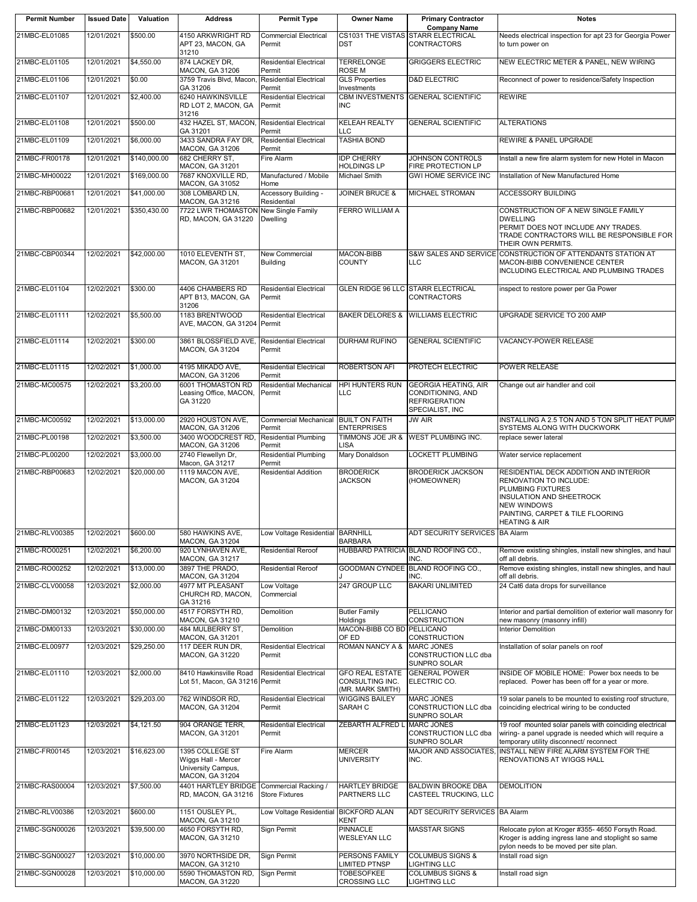| <b>Permit Number</b> | <b>Issued Date</b> | Valuation    | <b>Address</b>                                                                  | <b>Permit Type</b>                            | <b>Owner Name</b>                                             | <b>Primary Contractor</b>                                                                   | <b>Notes</b>                                                                                                                                                                                                   |
|----------------------|--------------------|--------------|---------------------------------------------------------------------------------|-----------------------------------------------|---------------------------------------------------------------|---------------------------------------------------------------------------------------------|----------------------------------------------------------------------------------------------------------------------------------------------------------------------------------------------------------------|
| 21MBC-EL01085        | 12/01/2021         | \$500.00     | 4150 ARKWRIGHT RD<br>APT 23, MACON, GA<br>31210                                 | <b>Commercial Electrical</b><br>Permit        | <b>DST</b>                                                    | <b>Company Name</b><br>CS1031 THE VISTAS STARR ELECTRICAL<br><b>CONTRACTORS</b>             | Needs electrical inspection for apt 23 for Georgia Power<br>to turn power on                                                                                                                                   |
| 21MBC-EL01105        | 12/01/2021         | \$4,550.00   | 874 LACKEY DR,<br>MACON, GA 31206                                               | <b>Residential Electrical</b><br>Permit       | <b>TERRELONGE</b><br><b>ROSE M</b>                            | <b>GRIGGERS ELECTRIC</b>                                                                    | NEW ELECTRIC METER & PANEL, NEW WIRING                                                                                                                                                                         |
| 21MBC-EL01106        | 12/01/2021         | \$0.00       | 3759 Travis Blyd, Macon.<br>GA 31206                                            | <b>Residential Electrical</b><br>Permit       | <b>GLS Properties</b><br>Investments                          | <b>D&amp;D ELECTRIC</b>                                                                     | Reconnect of power to residence/Safety Inspection                                                                                                                                                              |
| 21MBC-EL01107        | 12/01/2021         | \$2,400.00   | 6240 HAWKINSVILLE<br>RD LOT 2, MACON, GA<br>31216                               | <b>Residential Electrical</b><br>Permit       | <b>INC</b>                                                    | CBM INVESTMENTS GENERAL SCIENTIFIC                                                          | <b>REWIRE</b>                                                                                                                                                                                                  |
| 21MBC-EL01108        | 12/01/2021         | \$500.00     | 432 HAZEL ST, MACON,<br>GA 31201                                                | <b>Residential Electrical</b><br>Permit       | <b>KELEAH REALTY</b><br>LLC                                   | <b>GENERAL SCIENTIFIC</b>                                                                   | <b>ALTERATIONS</b>                                                                                                                                                                                             |
| 21MBC-EL01109        | 12/01/2021         | \$6,000.00   | 3433 SANDRA FAY DR,<br>MACON, GA 31206                                          | <b>Residential Electrical</b><br>Permit       | <b>TASHIA BOND</b>                                            |                                                                                             | <b>REWIRE &amp; PANEL UPGRADE</b>                                                                                                                                                                              |
| 21MBC-FR00178        | 12/01/2021         | \$140,000.00 | 682 CHERRY ST,<br><b>MACON, GA 31201</b>                                        | Fire Alarm                                    | <b>IDP CHERRY</b><br><b>HOLDINGS LP</b>                       | JOHNSON CONTROLS<br>FIRE PROTECTION LP                                                      | Install a new fire alarm system for new Hotel in Macon                                                                                                                                                         |
| 21MBC-MH00022        | 12/01/2021         | \$169,000.00 | 7687 KNOXVILLE RD,<br>MACON, GA 31052                                           | Manufactured / Mobile<br>Home                 | Michael Smith                                                 | <b>GWI HOME SERVICE INC</b>                                                                 | Installation of New Manufactured Home                                                                                                                                                                          |
| 21MBC-RBP00681       | 12/01/2021         | \$41,000.00  | 308 LOMBARD LN,<br>MACON, GA 31216                                              | Accessory Building -<br>Residential           | <b>JOINER BRUCE &amp;</b>                                     | <b>MICHAEL STROMAN</b>                                                                      | <b>ACCESSORY BUILDING</b>                                                                                                                                                                                      |
| 21MBC-RBP00682       | 12/01/2021         | \$350,430.00 | 7722 LWR THOMASTON<br>RD, MACON, GA 31220                                       | New Single Family<br>Dwelling                 | <b>FERRO WILLIAM A</b>                                        |                                                                                             | CONSTRUCTION OF A NEW SINGLE FAMILY<br><b>DWELLING</b><br>PERMIT DOES NOT INCLUDE ANY TRADES.<br>TRADE CONTRACTORS WILL BE RESPONSIBLE FOR<br>THEIR OWN PERMITS.                                               |
| 21MBC-CBP00344       | 12/02/2021         | \$42,000.00  | 1010 ELEVENTH ST,<br>MACON, GA 31201                                            | <b>New Commercial</b><br><b>Building</b>      | <b>MACON-BIBB</b><br><b>COUNTY</b>                            | <b>S&amp;W SALES AND SERVICE</b><br><b>LLC</b>                                              | CONSTRUCTION OF ATTENDANTS STATION AT<br>MACON-BIBB CONVENIENCE CENTER<br>INCLUDING ELECTRICAL AND PLUMBING TRADES                                                                                             |
| 21MBC-EL01104        | 12/02/2021         | \$300.00     | 4406 CHAMBERS RD<br>APT B13, MACON, GA<br>31206                                 | <b>Residential Electrical</b><br>Permit       | GLEN RIDGE 96 LLC                                             | <b>STARR ELECTRICAL</b><br><b>CONTRACTORS</b>                                               | inspect to restore power per Ga Power                                                                                                                                                                          |
| 21MBC-EL01111        | 12/02/2021         | \$5,500.00   | 1183 BRENTWOOD<br>AVE, MACON, GA 31204 Permit                                   | <b>Residential Electrical</b>                 | <b>BAKER DELORES &amp;</b>                                    | <b>WILLIAMS ELECTRIC</b>                                                                    | UPGRADE SERVICE TO 200 AMP                                                                                                                                                                                     |
| 21MBC-EL01114        | 12/02/2021         | \$300.00     | 3861 BLOSSFIELD AVE,<br>MACON, GA 31204                                         | <b>Residential Electrical</b><br>Permit       | <b>DURHAM RUFINO</b>                                          | <b>GENERAL SCIENTIFIC</b>                                                                   | <b>VACANCY-POWER RELEASE</b>                                                                                                                                                                                   |
| 21MBC-EL01115        | 12/02/2021         | \$1,000.00   | 4195 MIKADO AVE,<br>MACON, GA 31206                                             | <b>Residential Electrical</b><br>Permit       | <b>ROBERTSON AFI</b>                                          | PROTECH ELECTRIC                                                                            | POWER RELEASE                                                                                                                                                                                                  |
| 21MBC-MC00575        | 12/02/2021         | \$3,200.00   | 6001 THOMASTON RD<br>Leasing Office, MACON,<br>GA 31220                         | <b>Residential Mechanical</b><br>Permit       | <b>HPI HUNTERS RUN</b><br>LLC                                 | <b>GEORGIA HEATING, AIR</b><br>CONDITIONING, AND<br><b>REFRIGERATION</b><br>SPECIALIST, INC | Change out air handler and coil                                                                                                                                                                                |
| 21MBC-MC00592        | 12/02/2021         | \$13,000.00  | 2920 HOUSTON AVE,                                                               | Commercial Mechanical BUILT ON FAITH          |                                                               | <b>JW AIR</b>                                                                               | INSTALLING A 2.5 TON AND 5 TON SPLIT HEAT PUMP                                                                                                                                                                 |
| 21MBC-PL00198        | 12/02/2021         | \$3,500.00   | MACON, GA 31206<br>3400 WOODCREST RD                                            | Permit<br><b>Residential Plumbing</b>         | <b>ENTERPRISES</b>                                            | TIMMONS JOE JR & WEST PLUMBING INC.                                                         | SYSTEMS ALONG WITH DUCKWORK<br>replace sewer lateral                                                                                                                                                           |
| 21MBC-PL00200        | 12/02/2021         | \$3,000.00   | MACON, GA 31206<br>2740 Flewellyn Dr.                                           | Permit<br><b>Residential Plumbing</b>         | LISA<br>Mary Donaldson                                        | LOCKETT PLUMBING                                                                            | Water service replacement                                                                                                                                                                                      |
| 21MBC-RBP00683       | 12/02/2021         | \$20,000.00  | Macon, GA 31217<br>1119 MACON AVE,<br>MACON, GA 31204                           | Permit<br><b>Residential Addition</b>         | <b>BRODERICK</b><br><b>JACKSON</b>                            | <b>BRODERICK JACKSON</b><br>(HOMEOWNER)                                                     | RESIDENTIAL DECK ADDITION AND INTERIOR<br><b>RENOVATION TO INCLUDE:</b><br>PLUMBING FIXTURES<br>INSULATION AND SHEETROCK<br><b>NEW WINDOWS</b><br>PAINTING, CARPET & TILE FLOORING<br><b>HEATING &amp; AIR</b> |
| 21MBC-RLV00385       | 12/02/2021         | \$600.00     | 580 HAWKINS AVE,<br>MACON, GA 31204                                             | Low Voltage Residential                       | <b>BARNHILL</b><br><b>BARBARA</b>                             | ADT SECURITY SERVICES BA Alarm                                                              |                                                                                                                                                                                                                |
| 21MBC-RO00251        | 12/02/2021         | \$6,200.00   | 920 LYNHAVEN AVE,<br>MACON, GA 31217                                            | <b>Residential Reroof</b>                     |                                                               | HUBBARD PATRICIA BLAND ROOFING CO.,<br>INC.                                                 | Remove existing shingles, install new shingles, and haul<br>off all debris.                                                                                                                                    |
| 21MBC-RO00252        | 12/02/2021         | \$13,000.00  | 3897 THE PRADO,<br>MACON, GA 31204                                              | <b>Residential Reroof</b>                     |                                                               | GOODMAN CYNDEE BLAND ROOFING CO.,<br>INC.                                                   | Remove existing shingles, install new shingles, and haul<br>off all debris.                                                                                                                                    |
| 21MBC-CLV00058       | 12/03/2021         | \$2,000.00   | 4977 MT PLEASANT<br>CHURCH RD, MACON,<br>GA 31216                               | Low Voltage<br>Commercial                     | 247 GROUP LLC                                                 | <b>BAKARI UNLIMITED</b>                                                                     | 24 Cat6 data drops for surveillance                                                                                                                                                                            |
| 21MBC-DM00132        | 12/03/2021         | \$50,000.00  | 4517 FORSYTH RD,<br><b>MACON, GA 31210</b>                                      | Demolition                                    | <b>Butler Family</b><br>Holdings                              | <b>PELLICANO</b><br><b>CONSTRUCTION</b>                                                     | Interior and partial demolition of exterior wall masonry for<br>new masonry (masonry infill)                                                                                                                   |
| 21MBC-DM00133        | 12/03/2021         | \$30,000.00  | 484 MULBERRY ST,<br>MACON, GA 31201                                             | Demolition                                    | MACON-BIBB CO BD PELLICANO<br>OF ED                           | CONSTRUCTION                                                                                | <b>Interior Demolition</b>                                                                                                                                                                                     |
| 21MBC-EL00977        | 12/03/2021         | \$29,250.00  | 117 DEER RUN DR,<br>MACON, GA 31220                                             | <b>Residential Electrical</b><br>Permit       | ROMAN NANCY A &                                               | <b>MARC JONES</b><br>CONSTRUCTION LLC dba<br>SUNPRO SOLAR                                   | Installation of solar panels on roof                                                                                                                                                                           |
| 21MBC-EL01110        | 12/03/2021         | \$2,000.00   | 8410 Hawkinsville Road<br>Lot 51, Macon, GA 31216 Permit                        | <b>Residential Electrical</b>                 | <b>GFO REAL ESTATE</b><br>CONSULTING INC.<br>(MR. MARK SMITH) | <b>GENERAL POWER</b><br>ELECTRIC CO.                                                        | INSIDE OF MOBILE HOME: Power box needs to be<br>replaced. Power has been off for a year or more.                                                                                                               |
| 21MBC-EL01122        | 12/03/2021         | \$29,203.00  | 762 WINDSOR RD,<br>MACON, GA 31204                                              | <b>Residential Electrical</b><br>Permit       | <b>WIGGINS BAILEY</b><br>SARAH C                              | <b>MARC JONES</b><br>CONSTRUCTION LLC dba<br>SUNPRO SOLAR                                   | 19 solar panels to be mounted to existing roof structure,<br>coinciding electrical wiring to be conducted                                                                                                      |
| 21MBC-EL01123        | 12/03/2021         | \$4,121.50   | 904 ORANGE TERR,<br>MACON, GA 31201                                             | Residential Electrical<br>Permit              | ZEBARTH ALFRED L                                              | <b>MARC JONES</b><br>CONSTRUCTION LLC dba<br>SUNPRO SOLAR                                   | 19 roof mounted solar panels with coinciding electrical<br>wiring- a panel upgrade is needed which will require a<br>temporary utility disconnect/ reconnect                                                   |
| 21MBC-FR00145        | 12/03/2021         | \$16,623.00  | 1395 COLLEGE ST<br>Wiggs Hall - Mercer<br>University Campus,<br>MACON, GA 31204 | Fire Alarm                                    | <b>MERCER</b><br><b>UNIVERSITY</b>                            | MAJOR AND ASSOCIATES<br>INC.                                                                | INSTALL NEW FIRE ALARM SYSTEM FOR THE<br>RENOVATIONS AT WIGGS HALL                                                                                                                                             |
| 21MBC-RAS00004       | 12/03/2021         | \$7,500.00   | 4401 HARTLEY BRIDGE<br>RD, MACON, GA 31216                                      | Commercial Racking /<br><b>Store Fixtures</b> | <b>HARTLEY BRIDGE</b><br><b>PARTNERS LLC</b>                  | <b>BALDWIN BROOKE DBA</b><br>CASTEEL TRUCKING, LLC                                          | <b>DEMOLITION</b>                                                                                                                                                                                              |
| 21MBC-RLV00386       | 12/03/2021         | \$600.00     | 1151 OUSLEY PL,<br>MACON, GA 31210                                              | Low Voltage Residential BICKFORD ALAN         | <b>KENT</b>                                                   | ADT SECURITY SERVICES BA Alarm                                                              |                                                                                                                                                                                                                |
| 21MBC-SGN00026       | 12/03/2021         | \$39,500.00  | 4650 FORSYTH RD,<br>MACON, GA 31210                                             | Sign Permit                                   | <b>PINNACLE</b><br><b>WESLEYAN LLC</b>                        | <b>MASSTAR SIGNS</b>                                                                        | Relocate pylon at Kroger #355- 4650 Forsyth Road.<br>Kroger is adding ingress lane and stoplight so same<br>pylon needs to be moved per site plan.                                                             |
| 21MBC-SGN00027       | 12/03/2021         | \$10,000.00  | 3970 NORTHSIDE DR,<br>MACON, GA 31210                                           | Sign Permit                                   | PERSONS FAMILY<br>LIMITED PTNSP                               | <b>COLUMBUS SIGNS &amp;</b><br>LIGHTING LLC                                                 | Install road sign                                                                                                                                                                                              |
| 21MBC-SGN00028       | 12/03/2021         | \$10,000.00  | 5590 THOMASTON RD,<br>MACON, GA 31220                                           | Sign Permit                                   | <b>TOBESOFKEE</b><br>CROSSING LLC                             | <b>COLUMBUS SIGNS &amp;</b><br>LIGHTING LLC                                                 | Install road sign                                                                                                                                                                                              |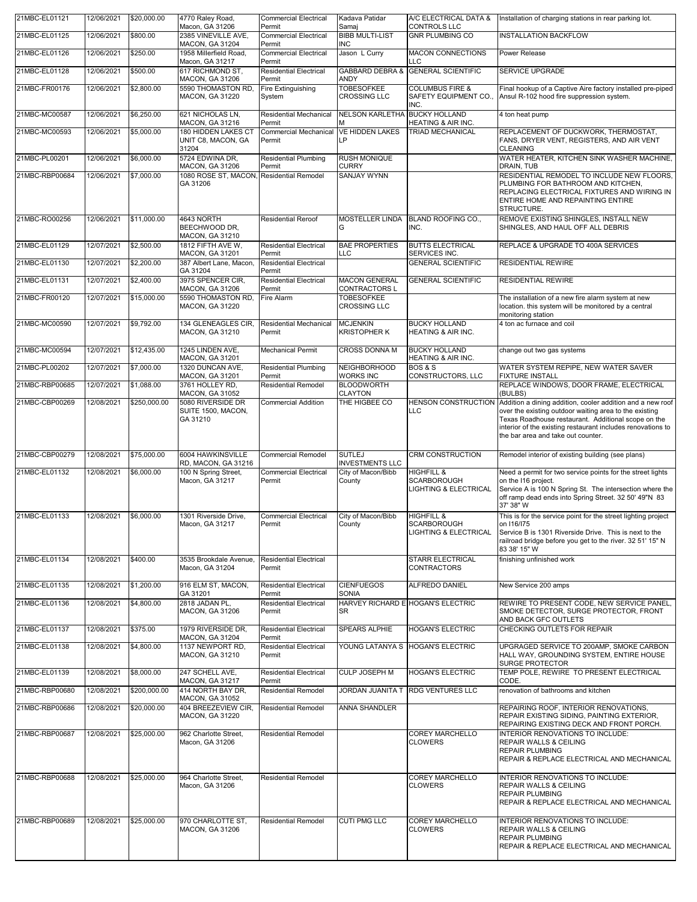| 21MBC-EL01121  | 12/06/2021 | \$20,000.00  | 4770 Raley Road,<br>Macon, GA 31206                                     | <b>Commercial Electrical</b><br>Permit           | Kadava Patidar<br>Samaj                                 | A/C ELECTRICAL DATA &<br><b>CONTROLS LLC</b>                                    | Installation of charging stations in rear parking lot.                                                                                                                                                                                                                           |
|----------------|------------|--------------|-------------------------------------------------------------------------|--------------------------------------------------|---------------------------------------------------------|---------------------------------------------------------------------------------|----------------------------------------------------------------------------------------------------------------------------------------------------------------------------------------------------------------------------------------------------------------------------------|
| 21MBC-EL01125  | 12/06/2021 | \$800.00     | 2385 VINEVILLE AVE,<br>MACON, GA 31204                                  | <b>Commercial Electrical</b><br>Permit           | <b>BIBB MULTI-LIST</b><br><b>INC</b>                    | <b>GNR PLUMBING CO</b>                                                          | <b>INSTALLATION BACKFLOW</b>                                                                                                                                                                                                                                                     |
| 21MBC-EL01126  | 12/06/2021 | \$250.00     | 1958 Millerfield Road,                                                  | <b>Commercial Electrical</b>                     | Jason L Curry                                           | <b>MACON CONNECTIONS</b>                                                        | Power Release                                                                                                                                                                                                                                                                    |
| 21MBC-EL01128  | 12/06/2021 | \$500.00     | Macon, GA 31217<br>617 RICHMOND ST,                                     | Permit<br><b>Residential Electrical</b>          | <b>GABBARD DEBRA &amp;</b>                              | LLC<br><b>GENERAL SCIENTIFIC</b>                                                | SERVICE UPGRADE                                                                                                                                                                                                                                                                  |
| 21MBC-FR00176  | 12/06/2021 | \$2,800.00   | MACON, GA 31206<br>5590 THOMASTON RD,<br>MACON, GA 31220                | Permit<br>Fire Extinguishing<br>System           | <b>ANDY</b><br><b>TOBESOFKEE</b><br><b>CROSSING LLC</b> | <b>COLUMBUS FIRE &amp;</b><br>SAFETY EQUIPMENT CO.,<br>INC.                     | Final hookup of a Captive Aire factory installed pre-piped<br>Ansul R-102 hood fire suppression system.                                                                                                                                                                          |
| 21MBC-MC00587  | 12/06/2021 | \$6,250.00   | 621 NICHOLAS LN,                                                        | <b>Residential Mechanical</b>                    | <b>NELSON KARLETHA</b><br>м                             | <b>BUCKY HOLLAND</b><br><b>HEATING &amp; AIR INC.</b>                           | 4 ton heat pump                                                                                                                                                                                                                                                                  |
| 21MBC-MC00593  | 12/06/2021 | \$5,000.00   | MACON, GA 31216<br>180 HIDDEN LAKES CT<br>UNIT C8, MACON, GA<br>31204   | Permit<br><b>Commercial Mechanical</b><br>Permit | <b>VE HIDDEN LAKES</b><br>LP                            | <b>TRIAD MECHANICAL</b>                                                         | REPLACEMENT OF DUCKWORK, THERMOSTAT,<br>FANS, DRYER VENT, REGISTERS, AND AIR VENT<br><b>CLEANING</b>                                                                                                                                                                             |
| 21MBC-PL00201  | 12/06/2021 | \$6,000.00   | 5724 EDWINA DR,                                                         | <b>Residential Plumbing</b>                      | <b>RUSH MONIQUE</b>                                     |                                                                                 | WATER HEATER, KITCHEN SINK WASHER MACHINE,                                                                                                                                                                                                                                       |
| 21MBC-RBP00684 | 12/06/2021 | \$7,000.00   | MACON, GA 31206<br>1080 ROSE ST, MACON, Residential Remodel<br>GA 31206 | Permit                                           | <b>CURRY</b><br><b>SANJAY WYNN</b>                      |                                                                                 | DRAIN, TUB<br>RESIDENTIAL REMODEL TO INCLUDE NEW FLOORS,<br>PLUMBING FOR BATHROOM AND KITCHEN,<br>REPLACING ELECTRICAL FIXTURES AND WIRING IN<br>ENTIRE HOME AND REPAINTING ENTIRE<br>STRUCTURE.                                                                                 |
| 21MBC-RO00256  | 12/06/2021 | \$11,000.00  | 4643 NORTH<br>BEECHWOOD DR,<br>MACON, GA 31210                          | <b>Residential Reroof</b>                        | <b>MOSTELLER LINDA</b><br>G                             | BLAND ROOFING CO.,<br>INC.                                                      | REMOVE EXISTING SHINGLES, INSTALL NEW<br>SHINGLES, AND HAUL OFF ALL DEBRIS                                                                                                                                                                                                       |
| 21MBC-EL01129  | 12/07/2021 | \$2,500.00   | 1812 FIFTH AVE W,<br>MACON, GA 31201                                    | <b>Residential Electrical</b><br>Permit          | <b>BAE PROPERTIES</b><br>LLC                            | <b>BUTTS ELECTRICAL</b><br>SERVICES INC.                                        | REPLACE & UPGRADE TO 400A SERVICES                                                                                                                                                                                                                                               |
| 21MBC-EL01130  | 12/07/2021 | \$2,200.00   | 387 Albert Lane, Macon,<br>GA 31204                                     | <b>Residential Electrical</b><br>Permit          |                                                         | <b>GENERAL SCIENTIFIC</b>                                                       | <b>RESIDENTIAL REWIRE</b>                                                                                                                                                                                                                                                        |
| 21MBC-EL01131  | 12/07/2021 | \$2,400.00   | 3975 SPENCER CIR,<br>MACON, GA 31206                                    | <b>Residential Electrical</b><br>Permit          | <b>MACON GENERAL</b><br>CONTRACTORS L                   | <b>GENERAL SCIENTIFIC</b>                                                       | <b>RESIDENTIAL REWIRE</b>                                                                                                                                                                                                                                                        |
| 21MBC-FR00120  | 12/07/2021 | \$15,000.00  | 5590 THOMASTON RD,<br><b>MACON, GA 31220</b>                            | Fire Alarm                                       | <b>TOBESOFKEE</b><br><b>CROSSING LLC</b>                |                                                                                 | The installation of a new fire alarm system at new<br>location. this system will be monitored by a central<br>monitoring station                                                                                                                                                 |
| 21MBC-MC00590  | 12/07/2021 | \$9,792.00   | 134 GLENEAGLES CIR,<br>MACON, GA 31210                                  | Residential Mechanical<br>Permit                 | <b>MCJENKIN</b><br><b>KRISTOPHER K</b>                  | <b>BUCKY HOLLAND</b><br>HEATING & AIR INC.                                      | 4 ton ac furnace and coil                                                                                                                                                                                                                                                        |
| 21MBC-MC00594  | 12/07/2021 | \$12,435.00  | 1245 LINDEN AVE,<br>MACON, GA 31201                                     | <b>Mechanical Permit</b>                         | <b>CROSS DONNA M</b>                                    | <b>BUCKY HOLLAND</b><br>HEATING & AIR INC.                                      | change out two gas systems                                                                                                                                                                                                                                                       |
| 21MBC-PL00202  | 12/07/2021 | \$7,000.00   | 1320 DUNCAN AVE,<br>MACON, GA 31201                                     | <b>Residential Plumbing</b><br>Permit            | <b>NEIGHBORHOOD</b><br>WORKS INC                        | <b>BOS &amp; S</b><br>CONSTRUCTORS, LLC                                         | WATER SYSTEM REPIPE, NEW WATER SAVER<br><b>FIXTURE INSTALL</b>                                                                                                                                                                                                                   |
| 21MBC-RBP00685 | 12/07/2021 | \$1,088.00   | 3761 HOLLEY RD,<br>MACON, GA 31052                                      | <b>Residential Remodel</b>                       | <b>BLOODWORTH</b><br><b>CLAYTON</b>                     |                                                                                 | REPLACE WINDOWS, DOOR FRAME, ELECTRICAL<br>(BULBS)                                                                                                                                                                                                                               |
| 21MBC-CBP00269 | 12/08/2021 | \$250,000.00 | 5080 RIVERSIDE DR<br>SUITE 1500, MACON,<br>GA 31210                     | <b>Commercial Addition</b>                       | THE HIGBEE CO                                           | <b>HENSON CONSTRUCTION</b><br>LLC                                               | Addition a dining addition, cooler addition and a new roof<br>over the existing outdoor waiting area to the existing<br>Texas Roadhouse restaurant. Additional scope on the<br>interior of the existing restaurant includes renovations to<br>the bar area and take out counter. |
| 21MBC-CBP00279 | 12/08/2021 | \$75,000.00  | 6004 HAWKINSVILLE<br>RD, MACON, GA 31216                                | <b>Commercial Remodel</b>                        | <b>SUTLEJ</b><br><b>INVESTMENTS LLC</b>                 | <b>CRM CONSTRUCTION</b>                                                         | Remodel interior of existing building (see plans)                                                                                                                                                                                                                                |
| 21MBC-EL01132  | 12/08/2021 | \$6,000.00   | 100 N Spring Street,<br>Macon, GA 31217                                 | <b>Commercial Electrical</b><br>Permit           | City of Macon/Bibb<br>County                            | <b>HIGHFILL &amp;</b><br><b>SCARBOROUGH</b><br><b>LIGHTING &amp; ELECTRICAL</b> | Need a permit for two service points for the street lights<br>on the I16 project.<br>Service A is 100 N Spring St. The intersection where the<br>off ramp dead ends into Spring Street. 32 50' 49"N 83<br>37' 38" W                                                              |
| 21MBC-EL01133  | 12/08/2021 | \$6,000.00   | 1301 Riverside Drive,<br>Macon, GA 31217                                | <b>Commercial Electrical</b><br>Permit           | City of Macon/Bibb<br>County                            | <b>HIGHFILL &amp;</b><br><b>SCARBOROUGH</b><br><b>LIGHTING &amp; ELECTRICAL</b> | This is for the service point for the street lighting project<br>on 116/175<br>Service B is 1301 Riverside Drive. This is next to the<br>railroad bridge before you get to the river. 32 51' 15" N<br>83 38' 15" W                                                               |
| 21MBC-EL01134  | 12/08/2021 | \$400.00     | 3535 Brookdale Avenue,<br>Macon, GA 31204                               | <b>Residential Electrical</b><br>Permit          |                                                         | <b>STARR ELECTRICAL</b><br><b>CONTRACTORS</b>                                   | finishing unfinished work                                                                                                                                                                                                                                                        |
| 21MBC-EL01135  | 12/08/2021 | \$1,200.00   | 916 ELM ST, MACON,<br>GA 31201                                          | <b>Residential Electrical</b><br>Permit          | <b>CIENFUEGOS</b><br>SONIA                              | ALFREDO DANIEL                                                                  | New Service 200 amps                                                                                                                                                                                                                                                             |
| 21MBC-EL01136  | 12/08/2021 | \$4,800.00   | 2818 JADAN PL,<br><b>MACON, GA 31206</b>                                | <b>Residential Electrical</b><br>Permit          | SR                                                      | HARVEY RICHARD E HOGAN'S ELECTRIC                                               | REWIRE TO PRESENT CODE. NEW SERVICE PANEL.<br>SMOKE DETECTOR, SURGE PROTECTOR, FRONT<br>AND BACK GFC OUTLETS                                                                                                                                                                     |
| 21MBC-EL01137  | 12/08/2021 | \$375.00     | 1979 RIVERSIDE DR,<br><b>MACON, GA 31204</b>                            | <b>Residential Electrical</b><br>Permit          | <b>SPEARS ALPHIE</b>                                    | <b>HOGAN'S ELECTRIC</b>                                                         | CHECKING OUTLETS FOR REPAIR                                                                                                                                                                                                                                                      |
| 21MBC-EL01138  | 12/08/2021 | \$4,800.00   | 1137 NEWPORT RD.<br>MACON, GA 31210                                     | <b>Residential Electrical</b><br>Permit          | YOUNG LATANYA S                                         | <b>HOGAN'S ELECTRIC</b>                                                         | UPGRAGED SERVICE TO 200AMP, SMOKE CARBON<br>HALL WAY, GROUNDING SYSTEM, ENTIRE HOUSE<br>SURGE PROTECTOR                                                                                                                                                                          |
| 21MBC-EL01139  | 12/08/2021 | \$8,000.00   | 247 SCHELL AVE.<br>MACON, GA 31217                                      | <b>Residential Electrical</b><br>Permit          | <b>CULP JOSEPH M</b>                                    | <b>HOGAN'S ELECTRIC</b>                                                         | TEMP POLE. REWIRE TO PRESENT ELECTRICAL<br>CODE.                                                                                                                                                                                                                                 |
| 21MBC-RBP00680 | 12/08/2021 | \$200,000.00 | 414 NORTH BAY DR,<br><b>MACON, GA 31052</b>                             | <b>Residential Remodel</b>                       | JORDAN JUANITA T                                        | <b>RDG VENTURES LLC</b>                                                         | renovation of bathrooms and kitchen                                                                                                                                                                                                                                              |
| 21MBC-RBP00686 | 12/08/2021 | \$20,000.00  | 404 BREEZEVIEW CIR,<br>MACON, GA 31220                                  | <b>Residential Remodel</b>                       | ANNA SHANDLER                                           |                                                                                 | REPAIRING ROOF, INTERIOR RENOVATIONS,<br>REPAIR EXISTING SIDING, PAINTING EXTERIOR,<br>REPAIRING EXISTING DECK AND FRONT PORCH.                                                                                                                                                  |
| 21MBC-RBP00687 | 12/08/2021 | \$25,000.00  | 962 Charlotte Street,<br>Macon, GA 31206                                | <b>Residential Remodel</b>                       |                                                         | COREY MARCHELLO<br><b>CLOWERS</b>                                               | INTERIOR RENOVATIONS TO INCLUDE:<br>REPAIR WALLS & CEILING<br><b>REPAIR PLUMBING</b><br>REPAIR & REPLACE ELECTRICAL AND MECHANICAL                                                                                                                                               |
| 21MBC-RBP00688 | 12/08/2021 | \$25,000.00  | 964 Charlotte Street,<br>Macon, GA 31206                                | <b>Residential Remodel</b>                       |                                                         | <b>COREY MARCHELLO</b><br><b>CLOWERS</b>                                        | INTERIOR RENOVATIONS TO INCLUDE:<br><b>REPAIR WALLS &amp; CEILING</b><br><b>REPAIR PLUMBING</b><br>REPAIR & REPLACE ELECTRICAL AND MECHANICAL                                                                                                                                    |
| 21MBC-RBP00689 | 12/08/2021 | \$25,000.00  | 970 CHARLOTTE ST.<br><b>MACON, GA 31206</b>                             | <b>Residential Remodel</b>                       | <b>CUTI PMG LLC</b>                                     | COREY MARCHELLO<br><b>CLOWERS</b>                                               | INTERIOR RENOVATIONS TO INCLUDE:<br><b>REPAIR WALLS &amp; CEILING</b><br><b>REPAIR PLUMBING</b><br>REPAIR & REPLACE ELECTRICAL AND MECHANICAL                                                                                                                                    |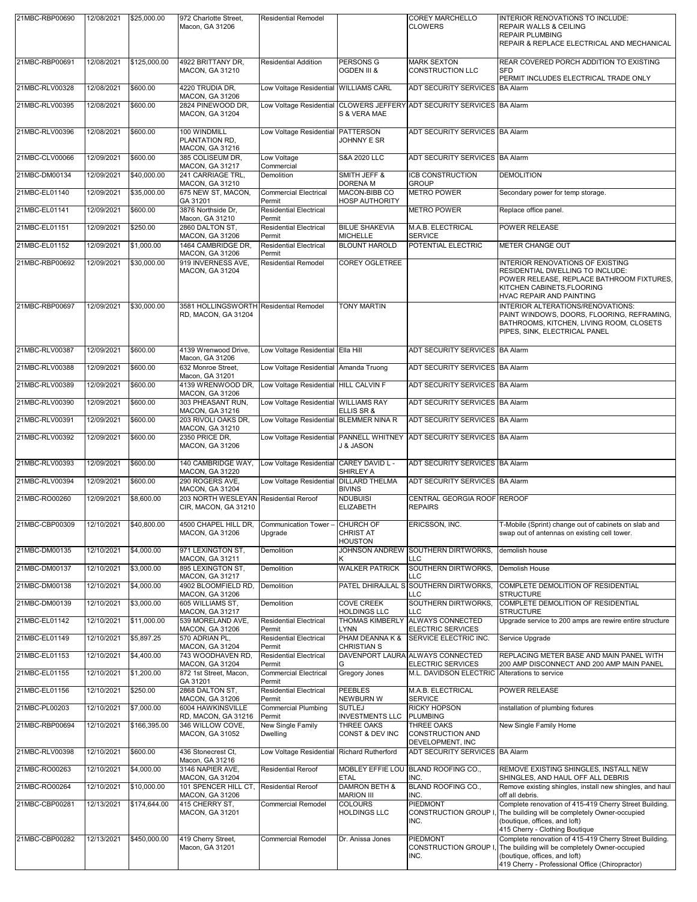| 21MBC-RBP00690 | 12/08/2021 | \$25,000.00  | 972 Charlotte Street,<br>Macon, GA 31206                      | <b>Residential Remodel</b>                 |                                               | <b>COREY MARCHELLO</b><br><b>CLOWERS</b>                               | <b>INTERIOR RENOVATIONS TO INCLUDE:</b><br>REPAIR WALLS & CEILING<br><b>REPAIR PLUMBING</b><br>REPAIR & REPLACE ELECTRICAL AND MECHANICAL                                                    |
|----------------|------------|--------------|---------------------------------------------------------------|--------------------------------------------|-----------------------------------------------|------------------------------------------------------------------------|----------------------------------------------------------------------------------------------------------------------------------------------------------------------------------------------|
| 21MBC-RBP00691 | 12/08/2021 | \$125,000.00 | 4922 BRITTANY DR,<br>MACON, GA 31210                          | <b>Residential Addition</b>                | PERSONS G<br><b>OGDEN III &amp;</b>           | <b>MARK SEXTON</b><br><b>CONSTRUCTION LLC</b>                          | REAR COVERED PORCH ADDITION TO EXISTING<br><b>SFD</b><br>PERMIT INCLUDES ELECTRICAL TRADE ONLY                                                                                               |
| 21MBC-RLV00328 | 12/08/2021 | \$600.00     | 4220 TRUDIA DR.                                               | Low Voltage Residential WILLIAMS CARL      |                                               | ADT SECURITY SERVICES BA Alarm                                         |                                                                                                                                                                                              |
| 21MBC-RLV00395 | 12/08/2021 | \$600.00     | MACON, GA 31206<br>2824 PINEWOOD DR,<br>MACON, GA 31204       | Low Voltage Residential                    | S & VERA MAE                                  | CLOWERS JEFFERY ADT SECURITY SERVICES BA Alarm                         |                                                                                                                                                                                              |
| 21MBC-RLV00396 | 12/08/2021 | \$600.00     | 100 WINDMILL<br>PLANTATION RD,<br>MACON, GA 31216             | Low Voltage Residential PATTERSON          | JOHNNY E SR                                   | ADT SECURITY SERVICES BA Alarm                                         |                                                                                                                                                                                              |
| 21MBC-CLV00066 | 12/09/2021 | \$600.00     | 385 COLISEUM DR,<br>MACON, GA 31217                           | Low Voltage<br>Commercial                  | <b>S&amp;A 2020 LLC</b>                       | ADT SECURITY SERVICES BA Alarm                                         |                                                                                                                                                                                              |
| 21MBC-DM00134  | 12/09/2021 | \$40,000.00  | 241 CARRIAGE TRL,<br>MACON, GA 31210                          | Demolition                                 | SMITH JEFF &<br><b>DORENA M</b>               | <b>ICB CONSTRUCTION</b><br><b>GROUP</b>                                | <b>DEMOLITION</b>                                                                                                                                                                            |
| 21MBC-EL01140  | 12/09/2021 | \$35,000.00  | 675 NEW ST, MACON,<br>GA 31201                                | <b>Commercial Electrical</b><br>Permit     | MACON-BIBB CO<br><b>HOSP AUTHORITY</b>        | <b>METRO POWER</b>                                                     | Secondary power for temp storage.                                                                                                                                                            |
| 21MBC-EL01141  | 12/09/2021 | \$600.00     | 3876 Northside Dr,<br>Macon, GA 31210                         | <b>Residential Electrical</b><br>Permit    |                                               | <b>METRO POWER</b>                                                     | Replace office panel.                                                                                                                                                                        |
| 21MBC-EL01151  | 12/09/2021 | \$250.00     | 2860 DALTON ST,<br>MACON, GA 31206                            | <b>Residential Electrical</b><br>Permit    | <b>BILUE SHAKEVIA</b><br><b>MICHELLE</b>      | M.A.B. ELECTRICAL<br><b>SERVICE</b>                                    | POWER RELEASE                                                                                                                                                                                |
| 21MBC-EL01152  | 12/09/2021 | \$1,000.00   | 1464 CAMBRIDGE DR,<br>MACON, GA 31206                         | <b>Residential Electrical</b><br>Permit    | <b>BLOUNT HAROLD</b>                          | POTENTIAL ELECTRIC                                                     | <b>METER CHANGE OUT</b>                                                                                                                                                                      |
| 21MBC-RBP00692 | 12/09/2021 | \$30,000.00  | 919 INVERNESS AVE,<br>MACON, GA 31204                         | <b>Residential Remodel</b>                 | <b>COREY OGLETREE</b>                         |                                                                        | <b>INTERIOR RENOVATIONS OF EXISTING</b><br>RESIDENTIAL DWELLING TO INCLUDE:<br>POWER RELEASE, REPLACE BATHROOM FIXTURES,<br>KITCHEN CABINETS, FLOORING<br>HVAC REPAIR AND PAINTING           |
| 21MBC-RBP00697 | 12/09/2021 | \$30,000.00  | 3581 HOLLINGSWORTH Residential Remodel<br>RD, MACON, GA 31204 |                                            | <b>TONY MARTIN</b>                            |                                                                        | INTERIOR ALTERATIONS/RENOVATIONS:<br>PAINT WINDOWS, DOORS, FLOORING, REFRAMING,<br>BATHROOMS, KITCHEN, LIVING ROOM, CLOSETS<br>PIPES, SINK, ELECTRICAL PANEL                                 |
| 21MBC-RLV00387 | 12/09/2021 | \$600.00     | 4139 Wrenwood Drive,<br>Macon, GA 31206                       | Low Voltage Residential Ella Hill          |                                               | ADT SECURITY SERVICES BA Alarm                                         |                                                                                                                                                                                              |
| 21MBC-RLV00388 | 12/09/2021 | \$600.00     | 632 Monroe Street,<br>Macon, GA 31201                         | Low Voltage Residential Amanda Truong      |                                               | ADT SECURITY SERVICES BA Alarm                                         |                                                                                                                                                                                              |
| 21MBC-RLV00389 | 12/09/2021 | \$600.00     | 4139 WRENWOOD DR,<br>MACON, GA 31206                          | Low Voltage Residential HILL CALVIN F      |                                               | ADT SECURITY SERVICES BA Alarm                                         |                                                                                                                                                                                              |
| 21MBC-RLV00390 | 12/09/2021 | \$600.00     | 303 PHEASANT RUN,<br>MACON, GA 31216                          | Low Voltage Residential WILLIAMS RAY       | ELLIS SR &                                    | ADT SECURITY SERVICES BA Alarm                                         |                                                                                                                                                                                              |
| 21MBC-RLV00391 | 12/09/2021 | \$600.00     | 203 RIVOLI OAKS DR.<br>MACON, GA 31210                        | Low Voltage Residential BLEMMER NINA R     |                                               | ADT SECURITY SERVICES BA Alarm                                         |                                                                                                                                                                                              |
| 21MBC-RLV00392 | 12/09/2021 | \$600.00     | 2350 PRICE DR.<br>MACON, GA 31206                             |                                            | <b>J &amp; JASON</b>                          | Low Voltage Residential PANNELL WHITNEY ADT SECURITY SERVICES BA Alarm |                                                                                                                                                                                              |
| 21MBC-RLV00393 | 12/09/2021 | \$600.00     | 140 CAMBRIDGE WAY,<br>MACON, GA 31220                         | Low Voltage Residential CAREY DAVID L -    | SHIRLEY A                                     | ADT SECURITY SERVICES BA Alarm                                         |                                                                                                                                                                                              |
| 21MBC-RLV00394 | 12/09/2021 | \$600.00     | 290 ROGERS AVE,<br>MACON, GA 31204                            | Low Voltage Residential                    | <b>DILLARD THELMA</b><br><b>BIVINS</b>        | ADT SECURITY SERVICES BA Alarm                                         |                                                                                                                                                                                              |
| 21MBC-RO00260  | 12/09/2021 | \$8,600.00   | 203 NORTH WESLEYAN Residential Reroof<br>CIR, MACON, GA 31210 |                                            | <b>NDUBUISI</b><br><b>ELIZABETH</b>           | CENTRAL GEORGIA ROOF REROOF<br><b>REPAIRS</b>                          |                                                                                                                                                                                              |
| 21MBC-CBP00309 | 12/10/2021 | \$40,800.00  | 4500 CHAPEL HILL DR,<br><b>MACON, GA 31206</b>                | Communication Tower<br>Upgrade             | CHURCH OF<br><b>CHRIST AT</b><br>HOUSTON      | ERICSSON, INC.                                                         | T-Mobile (Sprint) change out of cabinets on slab and<br>swap out of antennas on existing cell tower.                                                                                         |
| 21MBC-DM00135  | 12/10/2021 | \$4,000.00   | 971 LEXINGTON ST,<br>MACON, GA 31211                          | Demolition                                 | JOHNSON ANDREW                                | SOUTHERN DIRTWORKS,<br>LLC                                             | demolish house                                                                                                                                                                               |
| 21MBC-DM00137  | 12/10/2021 | \$3,000.00   | 895 LEXINGTON ST,<br>MACON, GA 31217                          | Demolition                                 | <b>WALKER PATRICK</b>                         | SOUTHERN DIRTWORKS,<br>LLC                                             | <b>Demolish House</b>                                                                                                                                                                        |
| 21MBC-DM00138  | 12/10/2021 | \$4,000.00   | 4902 BLOOMFIELD RD,<br>MACON, GA 31206                        | Demolition                                 | PATEL DHIRAJLAL S                             | SOUTHERN DIRTWORKS.<br>LLC                                             | COMPLETE DEMOLITION OF RESIDENTIAL<br><b>STRUCTURE</b>                                                                                                                                       |
| 21MBC-DM00139  | 12/10/2021 | \$3,000.00   | 605 WILLIAMS ST,<br>MACON, GA 31217                           | Demolition                                 | <b>COVE CREEK</b><br><b>HOLDINGS LLC</b>      | SOUTHERN DIRTWORKS,<br>LLC                                             | COMPLETE DEMOLITION OF RESIDENTIAL<br><b>STRUCTURE</b>                                                                                                                                       |
| 21MBC-EL01142  | 12/10/2021 | \$11,000.00  | 539 MORELAND AVE,<br>MACON, GA 31206                          | <b>Residential Electrical</b><br>Permit    | <b>THOMAS KIMBERLY</b><br>LYNN                | <b>ALWAYS CONNECTED</b><br><b>ELECTRIC SERVICES</b>                    | Upgrade service to 200 amps are rewire entire structure                                                                                                                                      |
| 21MBC-EL01149  | 12/10/2021 | \$5,897.25   | 570 ADRIAN PL,<br>MACON, GA 31204                             | <b>Residential Electrical</b><br>Permit    | PHAM DEANNA K &<br><b>CHRISTIAN S</b>         | SERVICE ELECTRIC INC.                                                  | Service Upgrade                                                                                                                                                                              |
| 21MBC-EL01153  | 12/10/2021 | \$4,400.00   | 743 WOODHAVEN RD,<br>MACON, GA 31204                          | <b>Residential Electrical</b><br>Permit    | G                                             | DAVENPORT LAURA ALWAYS CONNECTED<br><b>ELECTRIC SERVICES</b>           | REPLACING METER BASE AND MAIN PANEL WITH<br>200 AMP DISCONNECT AND 200 AMP MAIN PANEL                                                                                                        |
| 21MBC-EL01155  | 12/10/2021 | \$1,200.00   | 872 1st Street, Macon,<br>GA 31201                            | <b>Commercial Electrical</b><br>Permit     | Gregory Jones                                 | M.L. DAVIDSON ELECTRIC Alterations to service                          |                                                                                                                                                                                              |
| 21MBC-EL01156  | 12/10/2021 | \$250.00     | 2868 DALTON ST,<br>MACON, GA 31206                            | <b>Residential Electrical</b><br>Permit    | <b>PEEBLES</b><br>NEWBURN W                   | M.A.B. ELECTRICAL<br><b>SERVICE</b>                                    | POWER RELEASE                                                                                                                                                                                |
| 21MBC-PL00203  | 12/10/2021 | \$7,000.00   | 6004 HAWKINSVILLE<br>RD, MACON, GA 31216                      | Commercial Plumbing<br>Permit              | <b>SUTLEJ</b><br><b>INVESTMENTS LLC</b>       | <b>RICKY HOPSON</b><br><b>PLUMBING</b>                                 | installation of plumbing fixtures                                                                                                                                                            |
| 21MBC-RBP00694 | 12/10/2021 | \$166,395.00 | 346 WILLOW COVE,<br>MACON, GA 31052                           | New Single Family<br>Dwelling              | <b>THREE OAKS</b><br>CONST & DEV INC          | <b>THREE OAKS</b><br><b>CONSTRUCTION AND</b><br>DEVELOPMENT, INC       | New Single Family Home                                                                                                                                                                       |
| 21MBC-RLV00398 | 12/10/2021 | \$600.00     | 436 Stonecrest Ct,<br>Macon, GA 31216                         | Low Voltage Residential Richard Rutherford |                                               | ADT SECURITY SERVICES BA Alarm                                         |                                                                                                                                                                                              |
| 21MBC-RO00263  | 12/10/2021 | \$4,000.00   | 3146 NAPIER AVE,<br>MACON, GA 31204                           | <b>Residential Reroof</b>                  | <b>ETAL</b>                                   | MOBLEY EFFIE LOU BLAND ROOFING CO.,<br>INC.                            | REMOVE EXISTING SHINGLES, INSTALL NEW<br>SHINGLES, AND HAUL OFF ALL DEBRIS                                                                                                                   |
| 21MBC-RO00264  | 12/10/2021 | \$10,000.00  | 101 SPENCER HILL CT.<br>MACON, GA 31206                       | <b>Residential Reroof</b>                  | <b>DAMRON BETH &amp;</b><br><b>MARION III</b> | <b>BLAND ROOFING CO.,</b><br>INC.                                      | Remove existing shingles, install new shingles, and haul<br>off all debris.                                                                                                                  |
| 21MBC-CBP00281 | 12/13/2021 | \$174,644.00 | 415 CHERRY ST,<br>MACON, GA 31201                             | Commercial Remodel                         | <b>COLOURS</b><br><b>HOLDINGS LLC</b>         | <b>PIEDMONT</b><br>CONSTRUCTION GROUP<br>INC.                          | Complete renovation of 415-419 Cherry Street Building.<br>The building will be completely Owner-occupied<br>(boutique, offices, and loft)<br>415 Cherry - Clothing Boutique                  |
| 21MBC-CBP00282 | 12/13/2021 | \$450,000.00 | 419 Cherry Street,<br>Macon, GA 31201                         | Commercial Remodel                         | Dr. Anissa Jones                              | PIEDMONT<br>CONSTRUCTION GROUP<br>INC.                                 | Complete renovation of 415-419 Cherry Street Building.<br>The building will be completely Owner-occupied<br>(boutique, offices, and loft)<br>419 Cherry - Professional Office (Chiropractor) |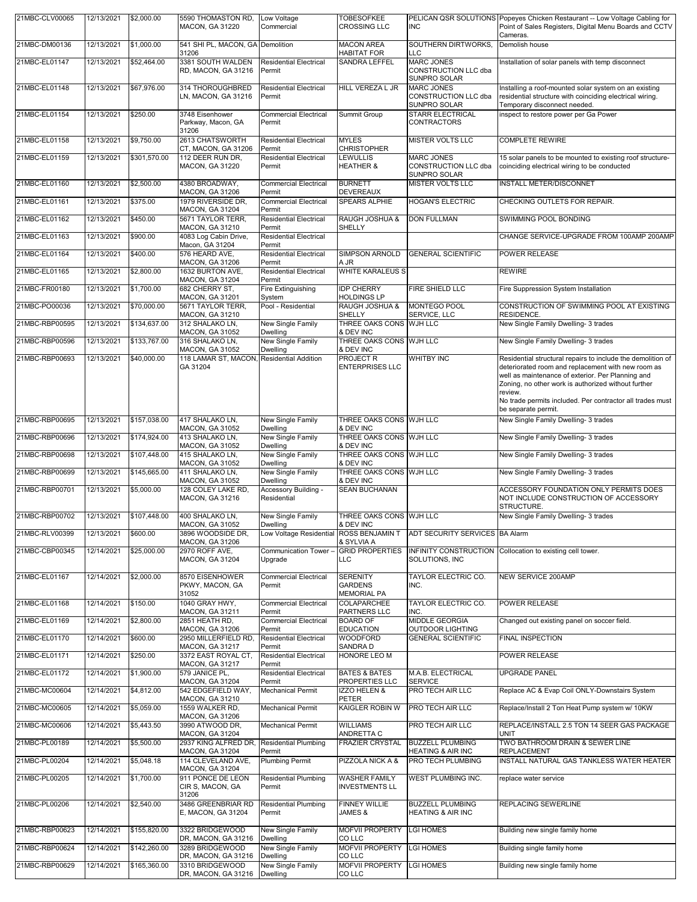| 21MBC-CLV00065 | 12/13/2021 | \$2,000.00   | 5590 THOMASTON RD,<br>MACON, GA 31220                               | Low Voltage<br>Commercial               | <b>TOBESOFKEE</b><br><b>CROSSING LLC</b>                | <b>INC</b>                                                       | PELICAN QSR SOLUTIONS Popeyes Chicken Restaurant -- Low Voltage Cabling for<br>Point of Sales Registers, Digital Menu Boards and CCTV<br>Cameras.                                                                                      |
|----------------|------------|--------------|---------------------------------------------------------------------|-----------------------------------------|---------------------------------------------------------|------------------------------------------------------------------|----------------------------------------------------------------------------------------------------------------------------------------------------------------------------------------------------------------------------------------|
| 21MBC-DM00136  | 12/13/2021 | \$1,000.00   | 541 SHI PL, MACON, GA Demolition<br>31206                           |                                         | <b>MACON AREA</b><br>HABITAT FOR                        | SOUTHERN DIRTWORKS.<br>LLC                                       | Demolish house                                                                                                                                                                                                                         |
| 21MBC-EL01147  | 12/13/2021 | \$52,464.00  | 3381 SOUTH WALDEN<br>RD, MACON, GA 31216                            | <b>Residential Electrical</b><br>Permit | SANDRA LEFFEL                                           | <b>MARC JONES</b><br>CONSTRUCTION LLC dba<br>SUNPRO SOLAR        | Installation of solar panels with temp disconnect                                                                                                                                                                                      |
| 21MBC-EL01148  | 12/13/2021 | \$67,976.00  | 314 THOROUGHBRED<br>LN, MACON, GA 31216                             | <b>Residential Electrical</b><br>Permit | HILL VEREZA L JR                                        | <b>MARC JONES</b><br>CONSTRUCTION LLC dba<br>SUNPRO SOLAR        | Installing a roof-mounted solar system on an existing<br>residential structure with coinciding electrical wiring.<br>Temporary disconnect needed.                                                                                      |
| 21MBC-EL01154  | 12/13/2021 | \$250.00     | 3748 Eisenhower<br>Parkway, Macon, GA<br>31206                      | Commercial Electrical<br>Permit         | Summit Group                                            | <b>STARR ELECTRICAL</b><br>CONTRACTORS                           | inspect to restore power per Ga Power                                                                                                                                                                                                  |
| 21MBC-EL01158  | 12/13/2021 | \$9,750.00   | 2613 CHATSWORTH<br>CT, MACON, GA 31206                              | <b>Residential Electrical</b><br>Permit | <b>MYLES</b><br><b>CHRISTOPHER</b>                      | <b>MISTER VOLTS LLC</b>                                          | <b>COMPLETE REWIRE</b>                                                                                                                                                                                                                 |
| 21MBC-EL01159  | 12/13/2021 | \$301,570.00 | 112 DEER RUN DR,<br>MACON, GA 31220                                 | <b>Residential Electrical</b><br>Permit | <b>LEWULLIS</b><br><b>HEATHER &amp;</b>                 | <b>MARC JONES</b><br><b>CONSTRUCTION LLC dba</b><br>SUNPRO SOLAR | 15 solar panels to be mounted to existing roof structure-<br>coinciding electrical wiring to be conducted                                                                                                                              |
| 21MBC-EL01160  | 12/13/2021 | \$2,500.00   | 4380 BROADWAY,<br>MACON, GA 31206                                   | <b>Commercial Electrical</b><br>Permit  | <b>BURNETT</b><br><b>DEVEREAUX</b>                      | MISTER VOLTS LLC                                                 | INSTALL METER/DISCONNET                                                                                                                                                                                                                |
| 21MBC-EL01161  | 12/13/2021 | \$375.00     | 1979 RIVERSIDE DR,<br>MACON, GA 31204                               | <b>Commercial Electrical</b><br>Permit  | <b>SPEARS ALPHIE</b>                                    | <b>HOGAN'S ELECTRIC</b>                                          | CHECKING OUTLETS FOR REPAIR.                                                                                                                                                                                                           |
| 21MBC-EL01162  | 12/13/2021 | \$450.00     | 5671 TAYLOR TERR,<br>MACON, GA 31210                                | <b>Residential Electrical</b><br>Permit | RAUGH JOSHUA &<br>SHELLY                                | <b>DON FULLMAN</b>                                               | SWIMMING POOL BONDING                                                                                                                                                                                                                  |
| 21MBC-EL01163  | 12/13/2021 | \$900.00     | 4083 Log Cabin Drive,<br>Macon, GA 31204                            | <b>Residential Electrical</b><br>Permit |                                                         |                                                                  | CHANGE SERVICE-UPGRADE FROM 100AMP 200AMP                                                                                                                                                                                              |
| 21MBC-EL01164  | 12/13/2021 | \$400.00     | 576 HEARD AVE,                                                      | <b>Residential Electrical</b>           | <b>SIMPSON ARNOLD</b>                                   | <b>GENERAL SCIENTIFIC</b>                                        | POWER RELEASE                                                                                                                                                                                                                          |
| 21MBC-EL01165  | 12/13/2021 | \$2,800.00   | MACON, GA 31206<br>1632 BURTON AVE,                                 | Permit<br><b>Residential Electrical</b> | A JR<br><b>WHITE KARALEUS S</b>                         |                                                                  | <b>REWIRE</b>                                                                                                                                                                                                                          |
| 21MBC-FR00180  | 12/13/2021 | \$1,700.00   | MACON, GA 31204<br>682 CHERRY ST.                                   | Permit<br>Fire Extinguishing            | <b>IDP CHERRY</b>                                       | FIRE SHIELD LLC                                                  | Fire Suppression System Installation                                                                                                                                                                                                   |
| 21MBC-PO00036  | 12/13/2021 | \$70,000.00  | MACON, GA 31201<br>5671 TAYLOR TERR.                                | System<br>Pool - Residential            | <b>HOLDINGS LP</b><br>RAUGH JOSHUA &                    | <b>MONTEGO POOL</b>                                              | CONSTRUCTION OF SWIMMING POOL AT EXISTING                                                                                                                                                                                              |
| 21MBC-RBP00595 | 12/13/2021 | \$134,637.00 | MACON, GA 31210<br>312 SHALAKO LN,                                  | New Single Family                       | <b>SHELLY</b><br>THREE OAKS CONS WJH LLC                | SERVICE, LLC                                                     | RESIDENCE.<br>New Single Family Dwelling- 3 trades                                                                                                                                                                                     |
| 21MBC-RBP00596 | 12/13/2021 | \$133,767.00 | MACON, GA 31052<br>316 SHALAKO LN,                                  | Dwelling<br>New Single Family           | & DEV INC<br>THREE OAKS CONS WJH LLC                    |                                                                  | New Single Family Dwelling- 3 trades                                                                                                                                                                                                   |
| 21MBC-RBP00693 | 12/13/2021 | \$40,000.00  | <b>MACON, GA 31052</b><br>118 LAMAR ST, MACON, Residential Addition | Dwelling                                | & DEV INC<br><b>PROJECT R</b>                           | <b>WHITBY INC</b>                                                | Residential structural repairs to include the demolition of                                                                                                                                                                            |
|                |            |              | GA 31204                                                            |                                         | <b>ENTERPRISES LLC</b>                                  |                                                                  | deteriorated room and replacement with new room as<br>well as maintenance of exterior. Per Planning and<br>Zoning, no other work is authorized without further<br>review.<br>No trade permits included. Per contractor all trades must |
| 21MBC-RBP00695 | 12/13/2021 | \$157,038.00 | 417 SHALAKO LN,                                                     | New Single Family                       | THREE OAKS CONS WJH LLC                                 |                                                                  | be separate permit.<br>New Single Family Dwelling- 3 trades                                                                                                                                                                            |
| 21MBC-RBP00696 | 12/13/2021 | \$174,924.00 | MACON, GA 31052<br>413 SHALAKO LN,                                  | Dwelling<br>New Single Family           | & DEV INC<br>THREE OAKS CONS WJH LLC                    |                                                                  | New Single Family Dwelling- 3 trades                                                                                                                                                                                                   |
| 21MBC-RBP00698 | 12/13/2021 | \$107,448.00 | MACON, GA 31052<br>415 SHALAKO LN,                                  | Dwelling<br>New Single Family           | & DEV INC<br>THREE OAKS CONS WJH LLC                    |                                                                  | New Single Family Dwelling- 3 trades                                                                                                                                                                                                   |
|                |            |              | MACON, GA 31052                                                     | Dwelling<br><b>New Single Family</b>    | & DEV INC                                               |                                                                  |                                                                                                                                                                                                                                        |
| 21MBC-RBP00699 | 12/13/2021 | \$145,665.00 | 411 SHALAKO LN,<br>MACON, GA 31052                                  | Dwelling                                | THREE OAKS CONS WJH LLC<br>& DEV INC                    |                                                                  | New Single Family Dwelling- 3 trades                                                                                                                                                                                                   |
| 21MBC-RBP00701 | 12/13/2021 | \$5,000.00   | 128 COLEY LAKE RD,<br>MACON, GA 31216                               | Accessory Building -<br>Residential     | <b>SEAN BUCHANAN</b>                                    |                                                                  | ACCESSORY FOUNDATION ONLY PERMITS DOES<br>NOT INCLUDE CONSTRUCTION OF ACCESSORY<br>STRUCTURE.                                                                                                                                          |
| 21MBC-RBP00702 | 12/13/2021 | \$107,448.00 | 400 SHALAKO LN,<br>MACON, GA 31052                                  | New Single Family<br>Dwelling           | THREE OAKS CONS WJH LLC<br>& DEV INC                    |                                                                  | New Single Family Dwelling- 3 trades                                                                                                                                                                                                   |
| 21MBC-RLV00399 | 12/13/2021 | \$600.00     | 3896 WOODSIDE DR,<br>MACON, GA 31206                                | Low Voltage Residential ROSS BENJAMIN T | & SYLVIA A                                              | ADT SECURITY SERVICES BA Alarm                                   |                                                                                                                                                                                                                                        |
| 21MBC-CBP00345 | 12/14/2021 | \$25,000.00  | 2970 ROFF AVE,<br>MACON, GA 31204                                   | Communication Tower -<br>Upgrade        | <b>GRID PROPERTIES</b><br><b>LLC</b>                    | INFINITY CONSTRUCTION<br>SOLUTIONS, INC                          | Collocation to existing cell tower.                                                                                                                                                                                                    |
| 21MBC-EL01167  | 12/14/2021 | \$2,000.00   | 8570 EISENHOWER<br>PKWY, MACON, GA<br>31052                         | <b>Commercial Electrical</b><br>Permit  | <b>SERENITY</b><br><b>GARDENS</b><br><b>MEMORIAL PA</b> | TAYLOR ELECTRIC CO.<br>INC.                                      | <b>NEW SERVICE 200AMP</b>                                                                                                                                                                                                              |
| 21MBC-EL01168  | 12/14/2021 | \$150.00     | 1040 GRAY HWY,<br>MACON, GA 31211                                   | Commercial Electrical<br>Permit         | COLAPARCHEE<br>PARTNERS LLC                             | TAYLOR ELECTRIC CO.<br>INC.                                      | POWER RELEASE                                                                                                                                                                                                                          |
| 21MBC-EL01169  | 12/14/2021 | \$2,800.00   | 2851 HEATH RD,<br>MACON, GA 31206                                   | <b>Commercial Electrical</b><br>Permit  | <b>BOARD OF</b><br><b>EDUCATION</b>                     | MIDDLE GEORGIA<br><b>OUTDOOR LIGHTING</b>                        | Changed out existing panel on soccer field.                                                                                                                                                                                            |
| 21MBC-EL01170  | 12/14/2021 | \$600.00     | 2950 MILLERFIELD RD,<br>MACON, GA 31217                             | <b>Residential Electrical</b><br>Permit | <b>WOODFORD</b><br>SANDRA D                             | <b>GENERAL SCIENTIFIC</b>                                        | <b>FINAL INSPECTION</b>                                                                                                                                                                                                                |
| 21MBC-EL01171  | 12/14/2021 | \$250.00     | 3372 EAST ROYAL CT.<br>MACON, GA 31217                              | <b>Residential Electrical</b><br>Permit | HONORE LEO M                                            |                                                                  | POWER RELEASE                                                                                                                                                                                                                          |
| 21MBC-EL01172  | 12/14/2021 | \$1,900.00   | 579 JANICE PL,<br>MACON, GA 31204                                   | <b>Residential Electrical</b><br>Permit | <b>BATES &amp; BATES</b><br>PROPERTIES LLC              | M.A.B. ELECTRICAL<br><b>SERVICE</b>                              | <b>UPGRADE PANEL</b>                                                                                                                                                                                                                   |
| 21MBC-MC00604  | 12/14/2021 | \$4,812.00   | 542 EDGEFIELD WAY,<br>MACON, GA 31210                               | <b>Mechanical Permit</b>                | <b>IZZO HELEN &amp;</b><br>PETER                        | PRO TECH AIR LLC                                                 | Replace AC & Evap Coil ONLY-Downstairs System                                                                                                                                                                                          |
| 21MBC-MC00605  | 12/14/2021 | \$5,059.00   | 1559 WALKER RD,                                                     | <b>Mechanical Permit</b>                | KAIGLER ROBIN W                                         | PRO TECH AIR LLC                                                 | Replace/Install 2 Ton Heat Pump system w/ 10KW                                                                                                                                                                                         |
| 21MBC-MC00606  | 12/14/2021 | \$5,443.50   | MACON, GA 31206<br>3990 ATWOOD DR,                                  | <b>Mechanical Permit</b>                | <b>WILLIAMS</b>                                         | PRO TECH AIR LLC                                                 | REPLACE/INSTALL 2.5 TON 14 SEER GAS PACKAGE                                                                                                                                                                                            |
| 21MBC-PL00189  | 12/14/2021 | \$5,500.00   | MACON, GA 31204<br>2937 KING ALFRED DR,                             | <b>Residential Plumbing</b>             | ANDRETTA C<br><b>FRAZIER CRYSTAL</b>                    | <b>BUZZELL PLUMBING</b>                                          | <b>UNIT</b><br>TWO BATHROOM DRAIN & SEWER LINE                                                                                                                                                                                         |
| 21MBC-PL00204  | 12/14/2021 | \$5,048.18   | MACON, GA 31204<br>114 CLEVELAND AVE,                               | Permit<br><b>Plumbing Permit</b>        | PIZZOLA NICK A &                                        | <b>HEATING &amp; AIR INC</b><br>PRO TECH PLUMBING                | <b>REPLACEMENT</b><br>INSTALL NATURAL GAS TANKLESS WATER HEATER                                                                                                                                                                        |
| 21MBC-PL00205  | 12/14/2021 | \$1,700.00   | MACON, GA 31204<br>911 PONCE DE LEON<br>CIR S, MACON, GA            | <b>Residential Plumbing</b><br>Permit   | <b>WASHER FAMILY</b><br><b>INVESTMENTS LL</b>           | WEST PLUMBING INC.                                               | replace water service                                                                                                                                                                                                                  |
| 21MBC-PL00206  | 12/14/2021 | \$2,540.00   | 31206<br>3486 GREENBRIAR RD<br>E, MACON, GA 31204                   | <b>Residential Plumbing</b><br>Permit   | <b>FINNEY WILLIE</b><br>JAMES &                         | <b>BUZZELL PLUMBING</b><br><b>HEATING &amp; AIR INC</b>          | REPLACING SEWERLINE                                                                                                                                                                                                                    |
| 21MBC-RBP00623 | 12/14/2021 | \$155,820.00 | 3322 BRIDGEWOOD                                                     | New Single Family                       | <b>MOFVII PROPERTY</b>                                  | <b>LGI HOMES</b>                                                 | Building new single family home                                                                                                                                                                                                        |
| 21MBC-RBP00624 | 12/14/2021 | \$142,260.00 | DR, MACON, GA 31216<br>3289 BRIDGEWOOD                              | Dwelling<br>New Single Family           | CO LLC<br><b>MOFVII PROPERTY</b>                        | <b>LGI HOMES</b>                                                 | Building single family home                                                                                                                                                                                                            |
| 21MBC-RBP00629 | 12/14/2021 | \$165,360.00 | DR, MACON, GA 31216<br>3310 BRIDGEWOOD                              | Dwelling<br>New Single Family           | CO LLC<br><b>MOFVII PROPERTY</b>                        | <b>LGI HOMES</b>                                                 | Building new single family home                                                                                                                                                                                                        |
|                |            |              | DR, MACON, GA 31216                                                 | Dwelling                                | CO LLC                                                  |                                                                  |                                                                                                                                                                                                                                        |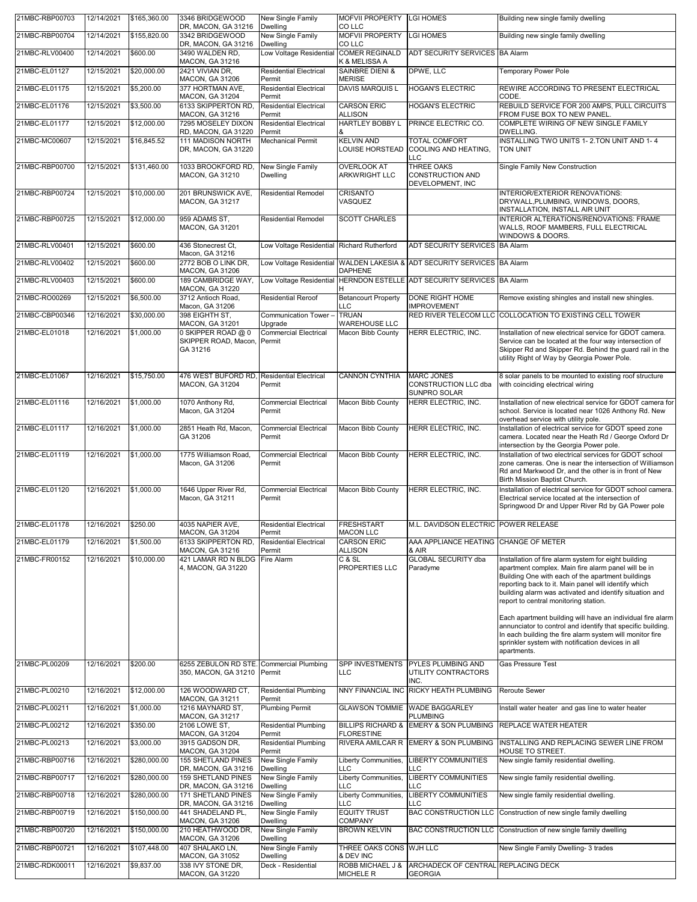| 21MBC-RBP00703                   | 12/14/2021               | \$165,360.00               | 3346 BRIDGEWOOD<br>DR, MACON, GA 31216                           | New Single Family<br>Dwelling                       | <b>MOFVII PROPERTY</b><br>CO LLC                         | <b>LGI HOMES</b>                                                       | Building new single family dwelling                                                                                                                                                                                                                                                                                                                                                                                                                                                                                                                                                                                                                   |
|----------------------------------|--------------------------|----------------------------|------------------------------------------------------------------|-----------------------------------------------------|----------------------------------------------------------|------------------------------------------------------------------------|-------------------------------------------------------------------------------------------------------------------------------------------------------------------------------------------------------------------------------------------------------------------------------------------------------------------------------------------------------------------------------------------------------------------------------------------------------------------------------------------------------------------------------------------------------------------------------------------------------------------------------------------------------|
| 21MBC-RBP00704                   | 12/14/2021               | \$155,820.00               | 3342 BRIDGEWOOD<br>DR, MACON, GA 31216                           | New Single Family<br>Dwelling                       | <b>MOFVII PROPERTY</b><br>CO LLC                         | <b>LGI HOMES</b>                                                       | Building new single family dwelling                                                                                                                                                                                                                                                                                                                                                                                                                                                                                                                                                                                                                   |
| 21MBC-RLV00400                   | 12/14/2021               | \$600.00                   | 3490 WALDEN RD,                                                  | Low Voltage Residential                             | <b>COMER REGINALD</b>                                    | ADT SECURITY SERVICES BA Alarm                                         |                                                                                                                                                                                                                                                                                                                                                                                                                                                                                                                                                                                                                                                       |
| 21MBC-EL01127                    | 12/15/2021               | \$20,000.00                | MACON, GA 31216<br>2421 VIVIAN DR.                               | <b>Residential Electrical</b>                       | K & MELISSA A<br><b>SAINBRE DIENI &amp;</b>              | DPWE, LLC                                                              | Temporary Power Pole                                                                                                                                                                                                                                                                                                                                                                                                                                                                                                                                                                                                                                  |
| 21MBC-EL01175                    | 12/15/2021               | \$5,200.00                 | MACON, GA 31206<br>377 HORTMAN AVE.                              | Permit<br><b>Residential Electrical</b>             | <b>MERISE</b><br><b>DAVIS MARQUIS L</b>                  | <b>HOGAN'S ELECTRIC</b>                                                | REWIRE ACCORDING TO PRESENT ELECTRICAL                                                                                                                                                                                                                                                                                                                                                                                                                                                                                                                                                                                                                |
| 21MBC-EL01176                    | 12/15/2021               | \$3,500.00                 | MACON, GA 31204<br>6133 SKIPPERTON RD,                           | Permit<br><b>Residential Electrical</b>             | <b>CARSON ERIC</b>                                       | <b>HOGAN'S ELECTRIC</b>                                                | CODE<br>REBUILD SERVICE FOR 200 AMPS, PULL CIRCUITS                                                                                                                                                                                                                                                                                                                                                                                                                                                                                                                                                                                                   |
| 21MBC-EL01177                    | 12/15/2021               | \$12,000.00                | MACON, GA 31216<br>7295 MOSELEY DIXON                            | Permit<br><b>Residential Electrical</b>             | <b>ALLISON</b><br><b>HARTLEY BOBBY L</b>                 | PRINCE ELECTRIC CO.                                                    | FROM FUSE BOX TO NEW PANEL.<br>COMPLETE WIRING OF NEW SINGLE FAMILY                                                                                                                                                                                                                                                                                                                                                                                                                                                                                                                                                                                   |
| 21MBC-MC00607                    | 12/15/2021               | \$16,845.52                | RD, MACON, GA 31220<br>111 MADISON NORTH                         | Permit<br>Mechanical Permit                         | <b>KELVIN AND</b>                                        | <b>TOTAL COMFORT</b>                                                   | DWELLING.<br>INSTALLING TWO UNITS 1- 2.TON UNIT AND 1-4                                                                                                                                                                                                                                                                                                                                                                                                                                                                                                                                                                                               |
|                                  |                          |                            | DR, MACON, GA 31220                                              |                                                     | <b>LOUISE HORSTEAD</b>                                   | COOLING AND HEATING.<br>LLC                                            | TON UNIT                                                                                                                                                                                                                                                                                                                                                                                                                                                                                                                                                                                                                                              |
| 21MBC-RBP00700                   | 12/15/2021               | \$131,460.00               | 1033 BROOKFORD RD,<br>MACON, GA 31210                            | New Single Family<br>Dwelling                       | <b>OVERLOOK AT</b><br><b>ARKWRIGHT LLC</b>               | <b>THREE OAKS</b><br>CONSTRUCTION AND<br>DEVELOPMENT, INC              | Single Family New Construction                                                                                                                                                                                                                                                                                                                                                                                                                                                                                                                                                                                                                        |
| 21MBC-RBP00724                   | 12/15/2021               | \$10,000.00                | 201 BRUNSWICK AVE,<br>MACON, GA 31217                            | <b>Residential Remodel</b>                          | <b>CRISANTO</b><br>VASQUEZ                               |                                                                        | INTERIOR/EXTERIOR RENOVATIONS:<br>DRYWALL, PLUMBING, WINDOWS, DOORS,<br>INSTALLATION, INSTALL AIR UNIT                                                                                                                                                                                                                                                                                                                                                                                                                                                                                                                                                |
| 21MBC-RBP00725                   | 12/15/2021               | \$12,000.00                | 959 ADAMS ST.<br>MACON, GA 31201                                 | <b>Residential Remodel</b>                          | <b>SCOTT CHARLES</b>                                     |                                                                        | INTERIOR ALTERATIONS/RENOVATIONS: FRAME<br>WALLS, ROOF MAMBERS, FULL ELECTRICAL<br>WINDOWS & DOORS.                                                                                                                                                                                                                                                                                                                                                                                                                                                                                                                                                   |
| 21MBC-RLV00401                   | 12/15/2021               | \$600.00                   | 436 Stonecrest Ct,<br>Macon, GA 31216                            | Low Voltage Residential Richard Rutherford          |                                                          | ADT SECURITY SERVICES BA Alarm                                         |                                                                                                                                                                                                                                                                                                                                                                                                                                                                                                                                                                                                                                                       |
| 21MBC-RLV00402                   | 12/15/2021               | \$600.00                   | 2772 BOB O LINK DR,<br>MACON, GA 31206                           | Low Voltage Residential                             | <b>DAPHENE</b>                                           | <b>IWALDEN LAKESIA &amp; ADT SECURITY SERVICES BA Alarm</b>            |                                                                                                                                                                                                                                                                                                                                                                                                                                                                                                                                                                                                                                                       |
| 21MBC-RLV00403                   | 12/15/2021               | \$600.00                   | 189 CAMBRIDGE WAY.                                               |                                                     |                                                          | Low Voltage Residential HERNDON ESTELLE ADT SECURITY SERVICES BA Alarm |                                                                                                                                                                                                                                                                                                                                                                                                                                                                                                                                                                                                                                                       |
| 21MBC-RO00269                    | 12/15/2021               | \$6,500.00                 | MACON, GA 31220<br>3712 Antioch Road,                            | <b>Residential Reroof</b>                           | н<br><b>Betancourt Property</b>                          | <b>DONE RIGHT HOME</b>                                                 | Remove existing shingles and install new shingles.                                                                                                                                                                                                                                                                                                                                                                                                                                                                                                                                                                                                    |
| 21MBC-CBP00346                   | 12/16/2021               | \$30,000.00                | Macon, GA 31206<br>398 EIGHTH ST,                                | Communication Tower-                                | LLC<br><b>TRUAN</b>                                      | <b>IMPROVEMENT</b>                                                     | RED RIVER TELECOM LLC COLLOCATION TO EXISTING CELL TOWER                                                                                                                                                                                                                                                                                                                                                                                                                                                                                                                                                                                              |
| 21MBC-EL01018                    | 12/16/2021               | \$1,000.00                 | MACON, GA 31201<br>0 SKIPPER ROAD @ 0                            | Upgrade<br><b>Commercial Electrical</b>             | <b>WAREHOUSE LLC</b><br>Macon Bibb County                | HERR ELECTRIC, INC.                                                    | Installation of new electrical service for GDOT camera.                                                                                                                                                                                                                                                                                                                                                                                                                                                                                                                                                                                               |
|                                  |                          |                            | SKIPPER ROAD, Macon,<br>GA 31216                                 | Permit                                              |                                                          |                                                                        | Service can be located at the four way intersection of<br>Skipper Rd and Skipper Rd. Behind the guard rail in the<br>utility Right of Way by Georgia Power Pole.                                                                                                                                                                                                                                                                                                                                                                                                                                                                                      |
| 21MBC-EL01067                    | 12/16/2021               | \$15,750.00                | 476 WEST BUFORD RD,<br>MACON, GA 31204                           | <b>Residential Electrical</b><br>Permit             | <b>CANNON CYNTHIA</b>                                    | <b>MARC JONES</b><br>CONSTRUCTION LLC dba<br>SUNPRO SOLAR              | 8 solar panels to be mounted to existing roof structure<br>with coinciding electrical wiring                                                                                                                                                                                                                                                                                                                                                                                                                                                                                                                                                          |
| 21MBC-EL01116                    | 12/16/2021               | \$1,000.00                 | 1070 Anthony Rd,<br>Macon, GA 31204                              | <b>Commercial Electrical</b><br>Permit              | Macon Bibb County                                        | HERR ELECTRIC, INC.                                                    | Installation of new electrical service for GDOT camera for<br>school. Service is located near 1026 Anthony Rd. New<br>overhead service with utility pole.                                                                                                                                                                                                                                                                                                                                                                                                                                                                                             |
| 21MBC-EL01117                    | 12/16/2021               | \$1,000.00                 | 2851 Heath Rd, Macon,<br>GA 31206                                | <b>Commercial Electrical</b><br>Permit              | Macon Bibb County                                        | HERR ELECTRIC, INC.                                                    | Installation of electrical service for GDOT speed zone<br>camera. Located near the Heath Rd / George Oxford Dr<br>intersection by the Georgia Power pole.                                                                                                                                                                                                                                                                                                                                                                                                                                                                                             |
|                                  |                          |                            |                                                                  |                                                     | Macon Bibb County                                        | HERR ELECTRIC, INC.                                                    | Installation of two electrical services for GDOT school                                                                                                                                                                                                                                                                                                                                                                                                                                                                                                                                                                                               |
| 21MBC-EL01119                    | 12/16/2021               | \$1,000.00                 | 1775 Williamson Road,<br>Macon, GA 31206                         | <b>Commercial Electrical</b><br>Permit              |                                                          |                                                                        | Rd and Markwood Dr, and the other is in front of New<br>Birth Mission Baptist Church.                                                                                                                                                                                                                                                                                                                                                                                                                                                                                                                                                                 |
| 21MBC-EL01120                    | 12/16/2021               | \$1,000.00                 | 1646 Upper River Rd,<br>Macon, GA 31211                          | <b>Commercial Electrical</b><br>Permit              | Macon Bibb County                                        | HERR ELECTRIC, INC.                                                    | Installation of electrical service for GDOT school camera.<br>Electrical service located at the intersection of<br>Springwood Dr and Upper River Rd by GA Power pole                                                                                                                                                                                                                                                                                                                                                                                                                                                                                  |
| 21MBC-EL01178                    | 12/16/2021               | \$250.00                   | 1035 NAPIER AVE,                                                 | Residential Electricai                              | FRESHSTART                                               | M.L. DAVIDSON ELECTRIC                                                 | <b>POWER RELEASE</b>                                                                                                                                                                                                                                                                                                                                                                                                                                                                                                                                                                                                                                  |
| 21MBC-EL01179                    | 12/16/2021               | \$1,500.00                 | MACON, GA 31204<br>6133 SKIPPERTON RD,<br>MACON, GA 31216        | Permit<br><b>Residential Electrical</b><br>Permit   | <b>MACON LLC</b><br><b>CARSON ERIC</b><br><b>ALLISON</b> | AAA APPLIANCE HEATING CHANGE OF METER<br>& AIR                         |                                                                                                                                                                                                                                                                                                                                                                                                                                                                                                                                                                                                                                                       |
| 21MBC-FR00152                    | 12/16/2021               | \$10,000.00                | 421 LAMAR RD N BLDG<br>4, MACON, GA 31220                        | Fire Alarm                                          | C & SL<br>PROPERTIES LLC                                 | <b>GLOBAL SECURITY dba</b><br>Paradyme                                 | zone cameras. One is near the intersection of Williamson<br>Installation of fire alarm system for eight building<br>apartment complex. Main fire alarm panel will be in<br>Building One with each of the apartment buildings<br>reporting back to it. Main panel will identify which<br>building alarm was activated and identify situation and<br>report to central monitoring station.<br>Each apartment building will have an individual fire alarm<br>annunciator to control and identify that specific building.<br>In each building the fire alarm system will monitor fire<br>sprinkler system with notification devices in all<br>apartments. |
| 21MBC-PL00209                    | 12/16/2021               | \$200.00                   | 6255 ZEBULON RD STE. Commercial Plumbing<br>350, MACON, GA 31210 | Permit                                              | SPP INVESTMENTS<br><b>LLC</b>                            | PYLES PLUMBING AND<br>UTILITY CONTRACTORS<br>INC.                      | <b>Gas Pressure Test</b>                                                                                                                                                                                                                                                                                                                                                                                                                                                                                                                                                                                                                              |
| 21MBC-PL00210                    | 12/16/2021               | \$12,000.00                | 126 WOODWARD CT,                                                 | <b>Residential Plumbing</b>                         |                                                          | NNY FINANCIAL INC RICKY HEATH PLUMBING                                 | <b>Reroute Sewer</b>                                                                                                                                                                                                                                                                                                                                                                                                                                                                                                                                                                                                                                  |
| 21MBC-PL00211                    | 12/16/2021               | \$1,000.00                 | MACON, GA 31211<br>1216 MAYNARD ST,                              | Permit<br><b>Plumbing Permit</b>                    | <b>GLAWSON TOMMIE</b>                                    | WADE BAGGARLEY                                                         | Install water heater and gas line to water heater                                                                                                                                                                                                                                                                                                                                                                                                                                                                                                                                                                                                     |
| 21MBC-PL00212                    | 12/16/2021               | \$350.00                   | MACON, GA 31217<br>2106 LOWE ST,                                 | <b>Residential Plumbing</b>                         | <b>BILLIPS RICHARD &amp;</b>                             | <b>PLUMBING</b><br><b>EMERY &amp; SON PLUMBING</b>                     | <b>REPLACE WATER HEATER</b>                                                                                                                                                                                                                                                                                                                                                                                                                                                                                                                                                                                                                           |
| 21MBC-PL00213                    | 12/16/2021               | \$3,000.00                 | MACON, GA 31204<br>3915 GADSON DR,                               | Permit<br><b>Residential Plumbing</b>               | <b>FLORESTINE</b>                                        | RIVERA AMILCAR R EMERY & SON PLUMBING                                  | INSTALLING AND REPLACING SEWER LINE FROM                                                                                                                                                                                                                                                                                                                                                                                                                                                                                                                                                                                                              |
| 21MBC-RBP00716                   | 12/16/2021               | \$280,000.00               | MACON, GA 31204<br><b>155 SHETLAND PINES</b>                     | Permit<br>New Single Family                         | Liberty Communities,                                     | <b>LIBERTY COMMUNITIES</b>                                             | HOUSE TO STREET.<br>New single family residential dwelling.                                                                                                                                                                                                                                                                                                                                                                                                                                                                                                                                                                                           |
| 21MBC-RBP00717                   | 12/16/2021               | \$280,000.00               | DR, MACON, GA 31216<br><b>159 SHETLAND PINES</b>                 | Dwelling<br>New Single Family                       | LLC<br>Liberty Communities,                              | LLC<br><b>LIBERTY COMMUNITIES</b>                                      | New single family residential dwelling.                                                                                                                                                                                                                                                                                                                                                                                                                                                                                                                                                                                                               |
| 21MBC-RBP00718                   | 12/16/2021               | \$280,000.00               | DR, MACON, GA 31216<br>171 SHETLAND PINES                        | Dwelling<br>New Single Family                       | <b>LLC</b><br>Liberty Communities,                       | LLC<br><b>LIBERTY COMMUNITIES</b>                                      | New single family residential dwelling.                                                                                                                                                                                                                                                                                                                                                                                                                                                                                                                                                                                                               |
| 21MBC-RBP00719                   | 12/16/2021               | \$150,000.00               | DR, MACON, GA 31216<br>441 SHADELAND PL,                         | Dwelling<br>New Single Family                       | LLC<br><b>EQUITY TRUST</b>                               | LC<br><b>BAC CONSTRUCTION LLC</b>                                      | Construction of new single family dwelling                                                                                                                                                                                                                                                                                                                                                                                                                                                                                                                                                                                                            |
| 21MBC-RBP00720                   | 12/16/2021               | \$150,000.00               | MACON, GA 31206<br>210 HEATHWOOD DR,                             | Dwelling<br>New Single Family                       | <b>COMPANY</b><br><b>BROWN KELVIN</b>                    | <b>BAC CONSTRUCTION LLC</b>                                            | Construction of new single family dwelling                                                                                                                                                                                                                                                                                                                                                                                                                                                                                                                                                                                                            |
|                                  |                          |                            | MACON, GA 31206                                                  | Dwelling                                            |                                                          |                                                                        |                                                                                                                                                                                                                                                                                                                                                                                                                                                                                                                                                                                                                                                       |
| 21MBC-RBP00721<br>21MBC-RDK00011 | 12/16/2021<br>12/16/2021 | \$107,448.00<br>\$9,837.00 | 407 SHALAKO LN,<br>MACON, GA 31052<br>338 IVY STONE DR,          | New Single Family<br>Dwelling<br>Deck - Residential | THREE OAKS CONS WJH LLC<br>& DEV INC<br>ROBB MICHAEL J & | ARCHADECK OF CENTRAL REPLACING DECK                                    | New Single Family Dwelling- 3 trades                                                                                                                                                                                                                                                                                                                                                                                                                                                                                                                                                                                                                  |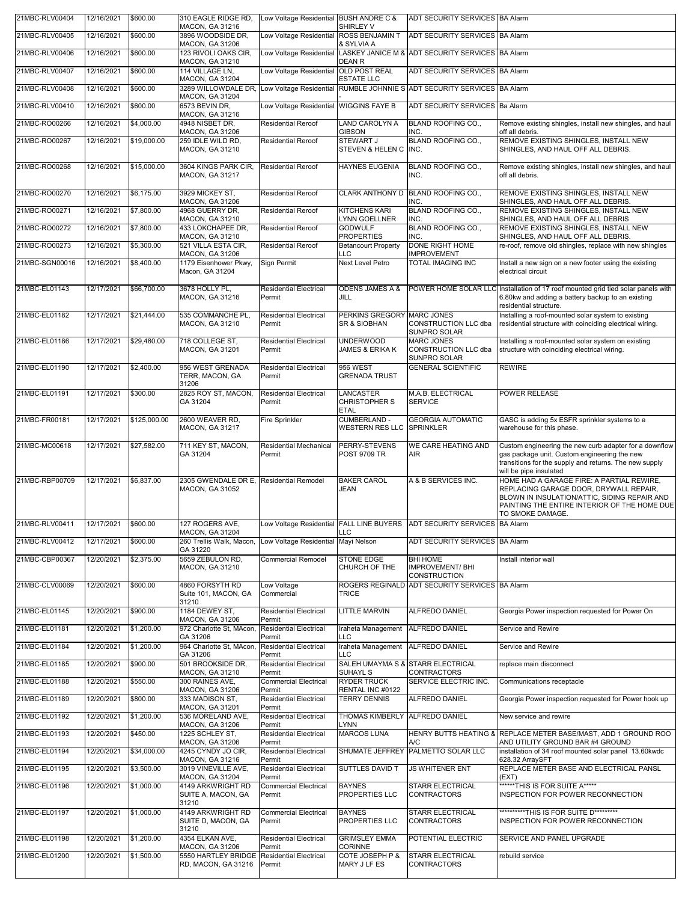| 21MBC-RLV00404 | 12/16/2021 | \$600.00     | 310 EAGLE RIDGE RD.<br>MACON, GA 31216                            | Low Voltage Residential BUSH ANDRE C &  | SHIRLEY V                                             | ADT SECURITY SERVICES BA Alarm                                                              |                                                                                                                                                                                                         |
|----------------|------------|--------------|-------------------------------------------------------------------|-----------------------------------------|-------------------------------------------------------|---------------------------------------------------------------------------------------------|---------------------------------------------------------------------------------------------------------------------------------------------------------------------------------------------------------|
| 21MBC-RLV00405 | 12/16/2021 | \$600.00     | 3896 WOODSIDE DR.<br>MACON, GA 31206                              | Low Voltage Residential ROSS BENJAMIN T | & SYLVIA A                                            | ADT SECURITY SERVICES BA Alarm                                                              |                                                                                                                                                                                                         |
| 21MBC-RLV00406 | 12/16/2021 | \$600.00     | 123 RIVOLI OAKS CIR.<br>MACON, GA 31210                           | Low Voltage Residential                 | <b>DEAN R</b>                                         | LASKEY JANICE M & ADT SECURITY SERVICES BA Alarm                                            |                                                                                                                                                                                                         |
| 21MBC-RLV00407 | 12/16/2021 | \$600.00     | 114 VILLAGE LN,<br>MACON, GA 31204                                | Low Voltage Residential                 | <b>OLD POST REAL</b><br><b>ESTATE LLC</b>             | ADT SECURITY SERVICES BA Alarm                                                              |                                                                                                                                                                                                         |
| 21MBC-RLV00408 | 12/16/2021 | \$600.00     | MACON, GA 31204                                                   |                                         |                                                       | 3289 WILLOWDALE DR, Low Voltage Residential RUMBLE JOHNNIE S ADT SECURITY SERVICES BA Alarm |                                                                                                                                                                                                         |
| 21MBC-RLV00410 | 12/16/2021 | \$600.00     | 6573 BEVIN DR.<br>MACON, GA 31216                                 | Low Voltage Residential WIGGINS FAYE B  |                                                       | ADT SECURITY SERVICES Ba Alarm                                                              |                                                                                                                                                                                                         |
| 21MBC-RO00266  | 12/16/2021 | \$4,000.00   | 4948 NISBET DR.<br>MACON, GA 31206                                | <b>Residential Reroof</b>               | LAND CAROLYN A<br><b>GIBSON</b>                       | BLAND ROOFING CO.,<br>INC.                                                                  | Remove existing shingles, install new shingles, and haul<br>off all debris.                                                                                                                             |
| 21MBC-RO00267  | 12/16/2021 | \$19,000.00  | 259 IDLE WILD RD.<br>MACON, GA 31210                              | <b>Residential Reroof</b>               | STEWART J<br>STEVEN & HELEN C                         | <b>BLAND ROOFING CO</b><br>INC.                                                             | REMOVE EXISTING SHINGLES, INSTALL NEW<br>SHINGLES, AND HAUL OFF ALL DEBRIS.                                                                                                                             |
| 21MBC-RO00268  | 12/16/2021 | \$15,000.00  | 3604 KINGS PARK CIR,<br>MACON, GA 31217                           | <b>Residential Reroof</b>               | <b>HAYNES EUGENIA</b>                                 | <b>BLAND ROOFING CO.,</b><br>INC.                                                           | Remove existing shingles, install new shingles, and haul<br>off all debris.                                                                                                                             |
| 21MBC-RO00270  | 12/16/2021 | \$6,175.00   | 3929 MICKEY ST,<br>MACON, GA 31206                                | <b>Residential Reroof</b>               |                                                       | CLARK ANTHONY D BLAND ROOFING CO.,<br>INC.                                                  | REMOVE EXISTING SHINGLES, INSTALL NEW<br>SHINGLES, AND HAUL OFF ALL DEBRIS.                                                                                                                             |
| 21MBC-RO00271  | 12/16/2021 | \$7,800.00   | 4968 GUERRY DR,<br>MACON, GA 31210                                | <b>Residential Reroof</b>               | <b>KITCHENS KARI</b><br>LYNN GOELLNER                 | <b>BLAND ROOFING CO.,</b><br>INC.                                                           | REMOVE EXISTING SHINGLES, INSTALL NEW<br>SHINGLES, AND HAUL OFF ALL DEBRIS                                                                                                                              |
| 21MBC-RO00272  | 12/16/2021 | \$7,800.00   | 433 LOKCHAPEE DR,<br>MACON, GA 31210                              | <b>Residential Reroof</b>               | <b>GODWULF</b><br><b>PROPERTIES</b>                   | <b>BLAND ROOFING CO.,</b><br>INC.                                                           | REMOVE EXISTING SHINGLES, INSTALL NEW<br>SHINGLES, AND HAUL OFF ALL DEBRIS.                                                                                                                             |
| 21MBC-RO00273  | 12/16/2021 | \$5,300.00   | 521 VILLA ESTA CIR,<br><b>MACON, GA 31206</b>                     | <b>Residential Reroof</b>               | <b>Betancourt Property</b><br><b>LLC</b>              | DONE RIGHT HOME<br><b>IMPROVEMENT</b>                                                       | re-roof, remove old shingles, replace with new shingles                                                                                                                                                 |
| 21MBC-SGN00016 | 12/16/2021 | \$8,400.00   | 1179 Eisenhower Pkwy,<br>Macon, GA 31204                          | Sign Permit                             | <b>Next Level Petro</b>                               | <b>TOTAL IMAGING INC</b>                                                                    | Install a new sign on a new footer using the existing<br>electrical circuit                                                                                                                             |
| 21MBC-EL01143  | 12/17/2021 | \$66,700.00  | 3678 HOLLY PL,<br>MACON, GA 31216                                 | <b>Residential Electrical</b><br>Permit | <b>ODENS JAMES A &amp;</b><br>JILL                    |                                                                                             | POWER HOME SOLAR LLC Installation of 17 roof mounted grid tied solar panels with<br>6.80kw and adding a battery backup to an existing<br>residential structure.                                         |
| 21MBC-EL01182  | 12/17/2021 | \$21,444.00  | 535 COMMANCHE PL,<br>MACON, GA 31210                              | <b>Residential Electrical</b><br>Permit | PERKINS GREGORY MARC JONES<br><b>SR &amp; SIOBHAN</b> | CONSTRUCTION LLC dba<br>SUNPRO SOLAR                                                        | Installing a roof-mounted solar system to existing<br>residential structure with coinciding electrical wiring.                                                                                          |
| 21MBC-EL01186  | 12/17/2021 | \$29,480.00  | 718 COLLEGE ST.<br>MACON, GA 31201                                | <b>Residential Electrical</b><br>Permit | <b>UNDERWOOD</b><br><b>JAMES &amp; ERIKA K</b>        | <b>MARC JONES</b><br>CONSTRUCTION LLC dba<br>SUNPRO SOLAR                                   | Installing a roof-mounted solar system on existing<br>structure with coinciding electrical wiring.                                                                                                      |
| 21MBC-EL01190  | 12/17/2021 | \$2,400.00   | 956 WEST GRENADA<br>TERR, MACON, GA<br>31206                      | <b>Residential Electrical</b><br>Permit | 956 WEST<br><b>GRENADA TRUST</b>                      | <b>GENERAL SCIENTIFIC</b>                                                                   | <b>REWIRE</b>                                                                                                                                                                                           |
| 21MBC-EL01191  | 12/17/2021 | \$300.00     | 2825 ROY ST, MACON,<br>GA 31204                                   | <b>Residential Electrical</b><br>Permit | LANCASTER<br><b>CHRISTOPHER S</b><br><b>ETAL</b>      | M.A.B. ELECTRICAL<br><b>SERVICE</b>                                                         | POWER RELEASE                                                                                                                                                                                           |
| 21MBC-FR00181  | 12/17/2021 | \$125,000.00 | 2600 WEAVER RD,<br>MACON, GA 31217                                | Fire Sprinkler                          | CUMBERLAND -<br><b>WESTERN RES LLC</b>                | <b>GEORGIA AUTOMATIC</b><br><b>SPRINKLER</b>                                                | GASC is adding 5x ESFR sprinkler systems to a<br>warehouse for this phase.                                                                                                                              |
| 21MBC-MC00618  | 12/17/2021 | \$27,582.00  | 711 KEY ST, MACON.<br>GA 31204                                    | Residential Mechanical<br>Permit        | PERRY-STEVENS<br><b>POST 9709 TR</b>                  | WE CARE HEATING AND<br>AIR.                                                                 | Custom engineering the new curb adapter for a downflow<br>gas package unit. Custom engineering the new<br>transitions for the supply and returns. The new supply<br>will be pipe insulated              |
| 21MBC-RBP00709 | 12/17/2021 | \$6,837.00   | 2305 GWENDALE DR E. Residential Remodel<br>MACON, GA 31052        |                                         | <b>BAKER CAROL</b><br>JEAN                            | A & B SERVICES INC.                                                                         | HOME HAD A GARAGE FIRE: A PARTIAL REWIRE,<br>REPLACING GARAGE DOOR, DRYWALL REPAIR,<br>BLOWN IN INSULATION/ATTIC, SIDING REPAIR AND<br>PAINTING THE ENTIRE INTERIOR OF THE HOME DUE<br>TO SMOKE DAMAGE. |
| 21MBC-RLV00411 | 12/17/2021 | \$600.00     | 127 ROGERS AVE,<br>MACON, GA 31204                                |                                         | LLC                                                   | Low Voltage Residential FALL LINE BUYERS ADT SECURITY SERVICES BA Alarm                     |                                                                                                                                                                                                         |
| 21MBC-RLV00412 | 12/17/2021 | \$600.00     | 260 Trellis Walk, Macon,<br>GA 31220                              | Low Voltage Residential Mayi Nelson     |                                                       | ADT SECURITY SERVICES BA Alarm                                                              |                                                                                                                                                                                                         |
| 21MBC-CBP00367 | 12/20/2021 | \$2,375.00   | 5659 ZEBULON RD,<br>MACON, GA 31210                               | <b>Commercial Remodel</b>               | <b>STONE EDGE</b><br>CHURCH OF THE                    | BHI HOME<br><b>IMPROVEMENT/BHI</b><br>CONSTRUCTION                                          | Install interior wall                                                                                                                                                                                   |
| 21MBC-CLV00069 | 12/20/2021 | \$600.00     | 4860 FORSYTH RD<br>Suite 101, MACON, GA<br>31210                  | Low Voltage<br>Commercial               | TRICE                                                 | ROGERS REGINALD ADT SECURITY SERVICES BA Alarm                                              |                                                                                                                                                                                                         |
| 21MBC-EL01145  | 12/20/2021 | \$900.00     | 1184 DEWEY ST,<br><b>MACON, GA 31206</b>                          | <b>Residential Electrical</b><br>Permit | <b>LITTLE MARVIN</b>                                  | <b>ALFREDO DANIEL</b>                                                                       | Georgia Power inspection requested for Power On                                                                                                                                                         |
| 21MBC-EL01181  | 12/20/2021 | \$1,200.00   | 972 Charlotte St, MAcon,<br>GA 31206                              | <b>Residential Electrical</b><br>Permit | Iraheta Management<br><b>LLC</b>                      | ALFREDO DANIEL                                                                              | Service and Rewire                                                                                                                                                                                      |
| 21MBC-EL01184  | 12/20/2021 | \$1,200.00   | 964 Charlotte St, MAcon<br>GA 31206                               | <b>Residential Electrical</b><br>Permit | Iraheta Management<br>LLC                             | ALFREDO DANIEL                                                                              | Service and Rewire                                                                                                                                                                                      |
| 21MBC-EL01185  | 12/20/2021 | \$900.00     | 501 BROOKSIDE DR,<br>MACON, GA 31210                              | <b>Residential Electrical</b><br>Permit | SUHAYL S                                              | SALEH UMAYMA S & STARR ELECTRICAL<br>CONTRACTORS                                            | replace main disconnect                                                                                                                                                                                 |
| 21MBC-EL01188  | 12/20/2021 | \$550.00     | 300 RAINES AVE,<br>MACON, GA 31206                                | <b>Commercial Electrical</b><br>Permit  | <b>RYDER TRUCK</b><br>RENTAL INC #0122                | SERVICE ELECTRIC INC.                                                                       | Communications receptacle                                                                                                                                                                               |
| 21MBC-EL01189  | 12/20/2021 | \$800.00     | 333 MADISON ST,<br>MACON, GA 31201                                | <b>Residential Electrical</b><br>Permit | <b>TERRY DENNIS</b>                                   | ALFREDO DANIEL                                                                              | Georgia Power inspection requested for Power hook up                                                                                                                                                    |
| 21MBC-EL01192  | 12/20/2021 | \$1,200.00   | 536 MORELAND AVE,<br>MACON, GA 31206                              | <b>Residential Electrical</b><br>Permit | THOMAS KIMBERLY ALFREDO DANIEL<br><b>LYNN</b>         |                                                                                             | New service and rewire                                                                                                                                                                                  |
| 21MBC-EL01193  | 12/20/2021 | \$450.00     | 1225 SCHLEY ST,<br>MACON, GA 31206                                | <b>Residential Electrical</b><br>Permit | <b>MARCOS LUNA</b>                                    | A/C                                                                                         | HENRY BUTTS HEATING & REPLACE METER BASE/MAST, ADD 1 GROUND ROO<br>AND UTILITY GROUND BAR #4 GROUND                                                                                                     |
| 21MBC-EL01194  | 12/20/2021 | \$34,000.00  | 4245 CYNDY JO CIR,<br>MACON, GA 31216                             | <b>Residential Electrical</b><br>Permit | SHUMATE JEFFREY                                       | PALMETTO SOLAR LLC                                                                          | installation of 34 roof mounted solar panel 13.60kwdc<br>628.32 ArraySFT                                                                                                                                |
| 21MBC-EL01195  | 12/20/2021 | \$3,500.00   | 3019 VINEVILLE AVE,<br>MACON, GA 31204                            | <b>Residential Electrical</b><br>Permit | SUTTLES DAVID T                                       | <b>JS WHITENER ENT</b>                                                                      | REPLACE METER BASE AND ELECTRICAL PANSL<br>(EXT)                                                                                                                                                        |
| 21MBC-EL01196  | 12/20/2021 | \$1,000.00   | 4149 ARKWRIGHT RD<br>SUITE A, MACON, GA<br>31210                  | <b>Commercial Electrical</b><br>Permit  | <b>BAYNES</b><br>PROPERTIES LLC                       | STARR ELECTRICAL<br><b>CONTRACTORS</b>                                                      | ******THIS IS FOR SUITE A*****<br>INSPECTION FOR POWER RECONNECTION                                                                                                                                     |
| 21MBC-EL01197  | 12/20/2021 | \$1,000.00   | 4149 ARKWRIGHT RD<br>SUITE D, MACON, GA<br>31210                  | <b>Commercial Electrical</b><br>Permit  | <b>BAYNES</b><br>PROPERTIES LLC                       | <b>STARR ELECTRICAL</b><br>CONTRACTORS                                                      | ***********THIS IS FOR SUITE D*********<br>INSPECTION FOR POWER RECONNECTION                                                                                                                            |
| 21MBC-EL01198  | 12/20/2021 | \$1,200.00   | 4354 ELKAN AVE,<br>MACON, GA 31206                                | <b>Residential Electrical</b><br>Permit | <b>GRIMSLEY EMMA</b><br><b>CORINNE</b>                | POTENTIAL ELECTRIC                                                                          | SERVICE AND PANEL UPGRADE                                                                                                                                                                               |
| 21MBC-EL01200  | 12/20/2021 | \$1,500.00   | 5550 HARTLEY BRIDGE Residential Electrical<br>RD, MACON, GA 31216 | Permit                                  | COTE JOSEPH P &<br>MARY J LF ES                       | <b>STARR ELECTRICAL</b><br>CONTRACTORS                                                      | rebuild service                                                                                                                                                                                         |
|                |            |              |                                                                   |                                         |                                                       |                                                                                             |                                                                                                                                                                                                         |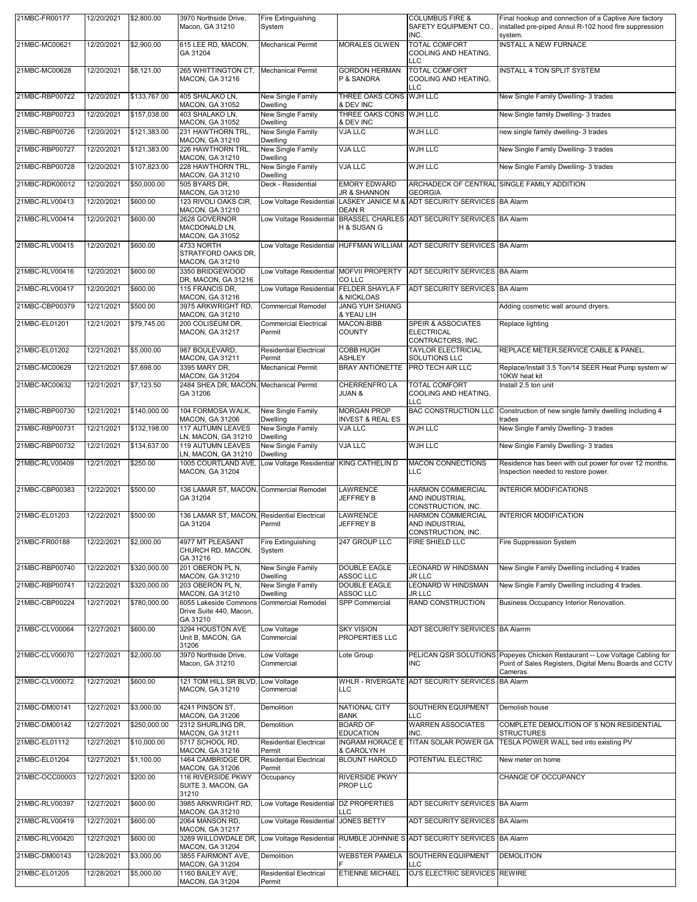| 21MBC-FR00177  | 12/20/2021 | \$2,800.00   | 3970 Northside Drive.<br>Macon, GA 31210                      | Fire Extinguishing<br>System                        |                                                   | <b>COLUMBUS FIRE &amp;</b><br>SAFETY EQUIPMENT CO.,<br>INC.             | Final hookup and connection of a Captive Aire factory<br>installed pre-piped Ansul R-102 hood fire suppression<br>system.                         |
|----------------|------------|--------------|---------------------------------------------------------------|-----------------------------------------------------|---------------------------------------------------|-------------------------------------------------------------------------|---------------------------------------------------------------------------------------------------------------------------------------------------|
| 21MBC-MC00621  | 12/20/2021 | \$2,900.00   | 615 LEE RD, MACON,<br>GA 31204                                | <b>Mechanical Permit</b>                            | <b>MORALES OLWEN</b>                              | <b>TOTAL COMFORT</b><br>COOLING AND HEATING,<br>LLC                     | <b>INSTALL A NEW FURNACE</b>                                                                                                                      |
| 21MBC-MC00628  | 12/20/2021 | \$8,121.00   | 265 WHITTINGTON CT,<br>MACON, GA 31216                        | <b>Mechanical Permit</b>                            | <b>GORDON HERMAN</b><br>P & SANDRA                | <b>TOTAL COMFORT</b><br>COOLING AND HEATING,<br>LLC                     | <b>INSTALL 4 TON SPLIT SYSTEM</b>                                                                                                                 |
| 21MBC-RBP00722 | 12/20/2021 | \$133,767.00 | 405 SHALAKO LN,<br>MACON, GA 31052                            | New Single Family<br>Dwelling                       | THREE OAKS CONS WJH LLC<br>& DEV INC              |                                                                         | New Single Family Dwelling- 3 trades                                                                                                              |
| 21MBC-RBP00723 | 12/20/2021 | \$157,038.00 | 403 SHALAKO LN,<br>MACON, GA 31052                            | New Single Family<br>Dwelling                       | THREE OAKS CONS WJH LLC<br>& DEV INC              |                                                                         | New Single family Dwelling- 3 trades                                                                                                              |
| 21MBC-RBP00726 | 12/20/2021 | \$121,383.00 | 231 HAWTHORN TRL,                                             | New Single Family                                   | <b>VJA LLC</b>                                    | <b>WJH LLC</b>                                                          | new single family dwelling- 3 trades                                                                                                              |
| 21MBC-RBP00727 | 12/20/2021 | \$121,383.00 | MACON, GA 31210<br>226 HAWTHORN TRL,<br>MACON, GA 31210       | Dwelling<br>New Single Family<br>Dwelling           | <b>VJA LLC</b>                                    | <b>WJH LLC</b>                                                          | New Single Family Dwelling- 3 trades                                                                                                              |
| 21MBC-RBP00728 | 12/20/2021 | \$107,823.00 | 228 HAWTHORN TRL,<br>MACON, GA 31210                          | New Single Family<br>Dwelling                       | <b>VJA LLC</b>                                    | <b>WJH LLC</b>                                                          | New Single Family Dwelling- 3 trades                                                                                                              |
| 21MBC-RDK00012 | 12/20/2021 | \$50,000.00  | 505 BYARS DR.<br>MACON, GA 31210                              | Deck - Residential                                  | <b>EMORY EDWARD</b><br><b>JR &amp; SHANNON</b>    | <b>GEORGIA</b>                                                          | ARCHADECK OF CENTRAL SINGLE FAMILY ADDITION                                                                                                       |
| 21MBC-RLV00413 | 12/20/2021 | \$600.00     | 123 RIVOLI OAKS CIR,<br>MACON, GA 31210                       | Low Voltage Residential                             | <b>DEAN R</b>                                     | LASKEY JANICE M & ADT SECURITY SERVICES BA Alarm                        |                                                                                                                                                   |
| 21MBC-RLV00414 | 12/20/2021 | \$600.00     | 2628 GOVERNOR<br>MACDONALD LN,<br>MACON, GA 31052             | Low Voltage Residential                             | H & SUSAN G                                       | BRASSEL CHARLES ADT SECURITY SERVICES BA Alarm                          |                                                                                                                                                   |
| 21MBC-RLV00415 | 12/20/2021 | \$600.00     | 4733 NORTH<br>STRATFORD OAKS DR,<br>MACON, GA 31210           |                                                     |                                                   | Low Voltage Residential HUFFMAN WILLIAM ADT SECURITY SERVICES BA Alarm  |                                                                                                                                                   |
| 21MBC-RLV00416 | 12/20/2021 | \$600.00     | 3350 BRIDGEWOOD<br>DR, MACON, GA 31216                        | Low Voltage Residential MOFVII PROPERTY             | CO LLC                                            | ADT SECURITY SERVICES BA Alarm                                          |                                                                                                                                                   |
| 21MBC-RLV00417 | 12/20/2021 | \$600.00     | 115 FRANCIS DR.<br>MACON, GA 31216                            | Low Voltage Residential FELDER SHAYLA F             | & NICKLOAS                                        | ADT SECURITY SERVICES BA Alarm                                          |                                                                                                                                                   |
| 21MBC-CBP00379 | 12/21/2021 | \$500.00     | 3975 ARKWRIGHT RD.<br>MACON, GA 31210                         | <b>Commercial Remodel</b>                           | <b>JANG YUH SHIANG</b><br>& YEAU LIH              |                                                                         | Adding cosmetic wall around dryers.                                                                                                               |
| 21MBC-EL01201  | 12/21/2021 | \$79,745.00  | 200 COLISEUM DR.<br>MACON, GA 31217                           | <b>Commercial Electrical</b><br>Permit              | <b>MACON-BIBB</b><br><b>COUNTY</b>                | <b>SPEIR &amp; ASSOCIATES</b><br><b>ELECTRICAL</b><br>CONTRACTORS, INC. | Replace lighting                                                                                                                                  |
| 21MBC-EL01202  | 12/21/2021 | \$5,000.00   | 987 BOULEVARD,<br>MACON, GA 31211                             | <b>Residential Electrical</b><br>Permit             | COBB HUGH<br><b>ASHLEY</b>                        | <b>TAYLOR ELECTRICIAL</b><br>SOLUTIONS LLC                              | REPLACE METER, SERVICE CABLE & PANEL.                                                                                                             |
| 21MBC-MC00629  | 12/21/2021 | \$7,698.00   | 3395 MARY DR.<br>MACON, GA 31204                              | <b>Mechanical Permit</b>                            | <b>BRAY ANTIONETTE</b>                            | PRO TECH AIR LLC                                                        | Replace/Install 3.5 Ton/14 SEER Heat Pump system w/<br>10KW heat kit                                                                              |
| 21MBC-MC00632  | 12/21/2021 | \$7,123.50   | 2484 SHEA DR, MACON, Mechanical Permit<br>GA 31206            |                                                     | CHERRENFRO LA<br><b>JUAN &amp;</b>                | <b>TOTAL COMFORT</b><br>COOLING AND HEATING,<br>LLC                     | Install 2.5 ton unit                                                                                                                              |
| 21MBC-RBP00730 | 12/21/2021 | \$140,000.00 | 104 FORMOSA WALK,<br>MACON, GA 31206                          | New Single Family<br>Dwelling                       | <b>MORGAN PROP</b><br><b>INVEST &amp; REAL ES</b> | <b>BAC CONSTRUCTION LLC</b>                                             | Construction of new single family dwelling including 4<br>trades                                                                                  |
| 21MBC-RBP00731 | 12/21/2021 | \$132,198.00 | <b>117 AUTUMN LEAVES</b>                                      | New Single Family                                   | VJA LLC                                           | WJH LLC                                                                 | New Single Family Dwelling- 3 trades                                                                                                              |
| 21MBC-RBP00732 | 12/21/2021 | \$134,637.00 | LN, MACON, GA 31210<br><b>119 AUTUMN LEAVES</b>               | Dwelling<br>New Single Family                       | <b>VJA LLC</b>                                    | WJH LLC                                                                 | New Single Family Dwelling- 3 trades                                                                                                              |
| 21MBC-RLV00409 | 12/21/2021 | \$250.00     | LN, MACON, GA 31210<br>1005 COURTLAND AVE,<br>MACON, GA 31204 | Dwelling<br>Low Voltage Residential KING CATHELIN D |                                                   | MACON CONNECTIONS<br>LLC                                                | Residence has been with out power for over 12 months.<br>Inspection needed to restore power.                                                      |
| 21MBC-CBP00383 | 12/22/2021 | \$500.00     | 136 LAMAR ST, MACON, Commercial Remodel<br>GA 31204           |                                                     | LAWRENCE<br>JEFFREY B                             | <b>HARMON COMMERCIAL</b><br>AND INDUSTRIAL<br>CONSTRUCTION, INC.        | <b>INTERIOR MODIFICATIONS</b>                                                                                                                     |
| 21MBC-EL01203  | 12/22/2021 | \$500.00     | 136 LAMAR ST, MACON, Residential Electrical                   |                                                     | <b>LAWRENCE</b>                                   | <b>HARMON COMMERCIAL</b>                                                | <b>INTERIOR MODIFICATION</b>                                                                                                                      |
| 21MBC-FR00188  | 12/22/2021 | \$2,000.00   | GA 31204<br>4977 MT PLEASANT                                  | Permit<br>Fire Extinguishing                        | JEFFREY B<br>247 GROUP LLC                        | AND INDUSTRIAL<br>CONSTRUCTION, INC.<br>FIRE SHIELD LLC                 | Fire Suppression System                                                                                                                           |
|                |            |              | CHURCH RD, MACON,<br>GA 31216                                 | System                                              |                                                   |                                                                         |                                                                                                                                                   |
| 21MBC-RBP00740 | 12/22/2021 | \$320,000.00 | 201 OBERON PL N,<br>MACON, GA 31210                           | New Single Family<br>Dwelling                       | <b>DOUBLE EAGLE</b><br>ASSOC LLC                  | LEONARD W HINDSMAN<br><b>JR LLC</b>                                     | New Single Family Dwelling including 4 trades                                                                                                     |
| 21MBC-RBP00741 | 12/22/2021 | \$320,000.00 | 203 OBERON PL N,<br>MACON, GA 31210                           | New Single Family<br>Dwelling                       | <b>DOUBLE EAGLE</b><br>ASSOC LLC                  | LEONARD W HINDSMAN<br><b>JR LLC</b>                                     | New Single Family Dwelling including 4 trades.                                                                                                    |
| 21MBC-CBP00224 | 12/27/2021 | \$780,000.00 | 6055 Lakeside Commons<br>Drive Suite 440, Macon,<br>GA 31210  | <b>Commercial Remodel</b>                           | SPP Commercial                                    | <b>RAND CONSTRUCTION</b>                                                | Business Occupancy Interior Renovation.                                                                                                           |
| 21MBC-CLV00064 | 12/27/2021 | \$600.00     | 3294 HOUSTON AVE<br>Unit B, MACON, GA<br>31206                | Low Voltage<br>Commercial                           | <b>SKY VISION</b><br>PROPERTIES LLC               | ADT SECURITY SERVICES BA Alarrm                                         |                                                                                                                                                   |
| 21MBC-CLV00070 | 12/27/2021 | \$2,000.00   | 3970 Northside Drive,<br>Macon, GA 31210                      | Low Voltage<br>Commercial                           | Lote Group                                        | <b>INC</b>                                                              | PELICAN QSR SOLUTIONS Popeyes Chicken Restaurant -- Low Voltage Cabling for<br>Point of Sales Registers, Digital Menu Boards and CCTV<br>Cameras. |
| 21MBC-CLV00072 | 12/27/2021 | \$600.00     | 121 TOM HILL SR BLVD<br>MACON, GA 31210                       | Low Voltage<br>Commercial                           | <b>LLC</b>                                        | WHLR - RIVERGATE ADT SECURITY SERVICES BA Alarm                         |                                                                                                                                                   |
| 21MBC-DM00141  | 12/27/2021 | \$3,000.00   | 4241 PINSON ST.<br>MACON, GA 31206                            | Demolition                                          | <b>NATIONAL CITY</b><br>BANK                      | SOUTHERN EQUIPMENT<br>LLC                                               | Demolish house                                                                                                                                    |
| 21MBC-DM00142  | 12/27/2021 | \$250,000.00 | 2312 SHURLING DR,<br>MACON, GA 31211                          | Demolition                                          | <b>BOARD OF</b><br><b>EDUCATION</b>               | <b>WARREN ASSOCIATES</b><br>INC.                                        | COMPLETE DEMOLITION OF 5 NON RESIDENTIAL<br><b>STRUCTURES</b>                                                                                     |
| 21MBC-EL01112  | 12/27/2021 | \$10,000.00  | 5717 SCHOOL RD,<br>MACON, GA 31216                            | <b>Residential Electrical</b><br>Permit             | <b>INGRAM HORACE E</b><br>& CAROLYN H             | TITAN SOLAR POWER GA                                                    | TESLA POWER WALL tied into existing PV                                                                                                            |
| 21MBC-EL01204  | 12/27/2021 | \$1,100.00   | 1464 CAMBRIDGE DR,<br>MACON, GA 31206                         | <b>Residential Electrical</b><br>Permit             | <b>BLOUNT HAROLD</b>                              | POTENTIAL ELECTRIC                                                      | New meter on home                                                                                                                                 |
| 21MBC-OCC00003 | 12/27/2021 | \$200.00     | 116 RIVERSIDE PKWY<br>SUITE 3, MACON, GA<br>31210             | Occupancy                                           | <b>RIVERSIDE PKWY</b><br>PROP LLC                 |                                                                         | CHANGE OF OCCUPANCY                                                                                                                               |
| 21MBC-RLV00397 | 12/27/2021 | \$600.00     | 3985 ARKWRIGHT RD,                                            | Low Voltage Residential DZ PROPERTIES               |                                                   | ADT SECURITY SERVICES BA Alarm                                          |                                                                                                                                                   |
| 21MBC-RLV00419 | 12/27/2021 | \$600.00     | MACON, GA 31210<br>2064 MANSON RD,                            | Low Voltage Residential                             | LLC<br><b>JONES BETTY</b>                         | ADT SECURITY SERVICES BA Alarm                                          |                                                                                                                                                   |
| 21MBC-RLV00420 | 12/27/2021 | \$600.00     | MACON, GA 31217<br>3289 WILLOWDALE DR,                        |                                                     |                                                   | Low Voltage Residential RUMBLE JOHNNIE S ADT SECURITY SERVICES BA Alarm |                                                                                                                                                   |
| 21MBC-DM00143  | 12/28/2021 | \$3,000.00   | MACON, GA 31204<br>3855 FAIRMONT AVE,                         | Demolition                                          | <b>WEBSTER PAMELA</b>                             | SOUTHERN EQUIPMENT                                                      | <b>DEMOLITION</b>                                                                                                                                 |
| 21MBC-EL01205  | 12/28/2021 | \$5,000.00   | MACON, GA 31204<br>1160 BAILEY AVE,<br>MACON, GA 31204        | <b>Residential Electrical</b><br>Permit             | ETIENNE MICHAEL                                   | LLC<br>OJ'S ELECTRIC SERVICES REWIRE                                    |                                                                                                                                                   |
|                |            |              |                                                               |                                                     |                                                   |                                                                         |                                                                                                                                                   |